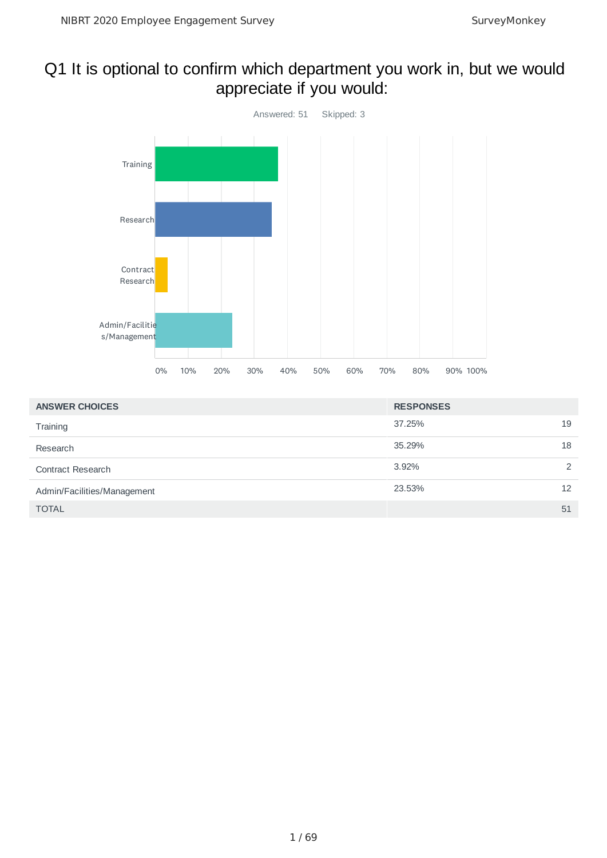### Q1 It is optional to confirm which department you work in, but we would appreciate if you would:



| <b>ANSWER CHOICES</b>       | <b>RESPONSES</b> |               |
|-----------------------------|------------------|---------------|
| Training                    | 37.25%           | 19            |
| Research                    | 35.29%           | 18            |
| <b>Contract Research</b>    | 3.92%            | $\mathcal{P}$ |
| Admin/Facilities/Management | 23.53%           | 12            |
| <b>TOTAL</b>                |                  | 51            |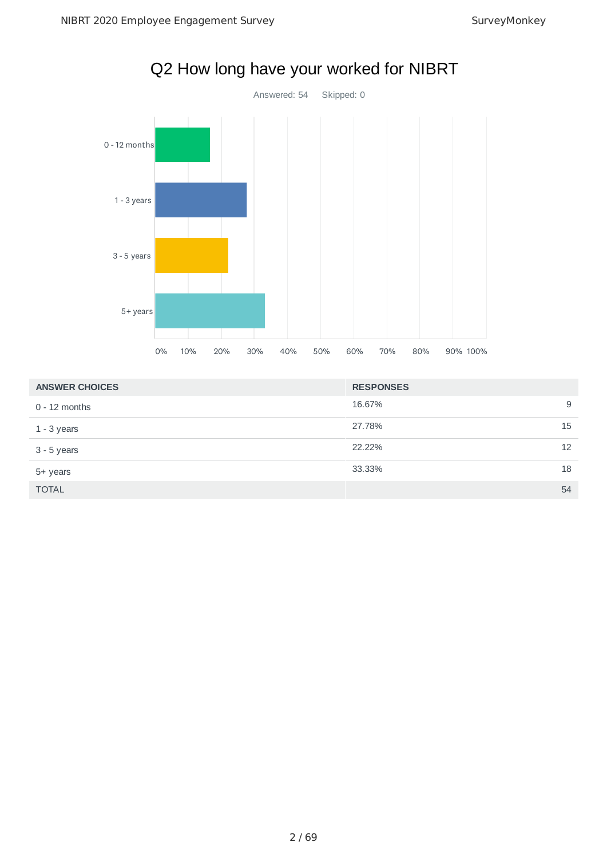

# Q2 How long have your worked for NIBRT

| <b>ANSWER CHOICES</b> | <b>RESPONSES</b> |    |
|-----------------------|------------------|----|
| $0 - 12$ months       | 16.67%           | 9  |
| $1 - 3$ years         | 27.78%           | 15 |
| $3 - 5$ years         | 22.22%           | 12 |
| 5+ years              | 33.33%           | 18 |
| <b>TOTAL</b>          |                  | 54 |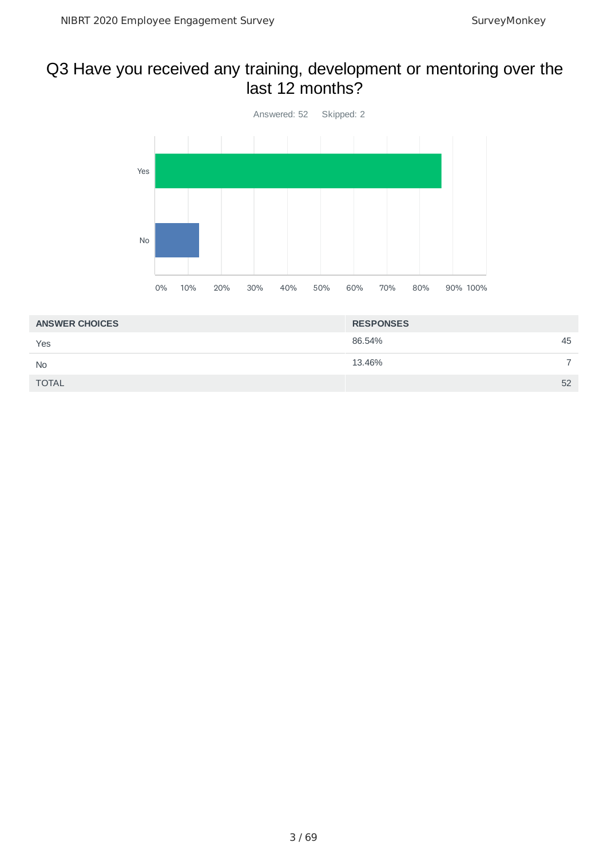### Q3 Have you received any training, development or mentoring over the last 12 months?



| <b>ANSWER CHOICES</b> | <b>RESPONSES</b> |    |
|-----------------------|------------------|----|
| Yes                   | 86.54%           | 45 |
| <b>No</b>             | 13.46%           |    |
| <b>TOTAL</b>          |                  | 52 |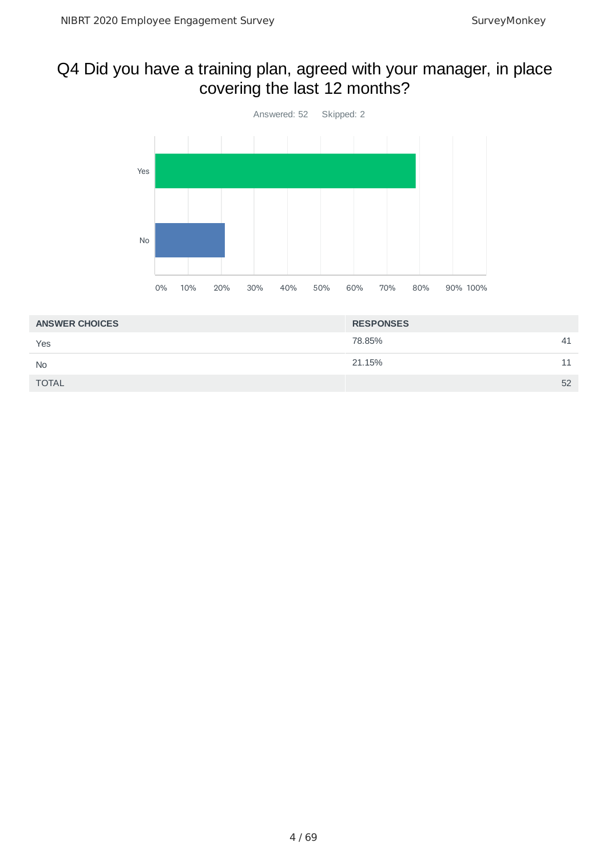# Q4 Did you have a training plan, agreed with your manager, in place covering the last 12 months?



| <b>ANSWER CHOICES</b> | <b>RESPONSES</b> |    |
|-----------------------|------------------|----|
| Yes                   | 78.85%           | 41 |
| <b>No</b>             | 21.15%           |    |
| <b>TOTAL</b>          |                  | 52 |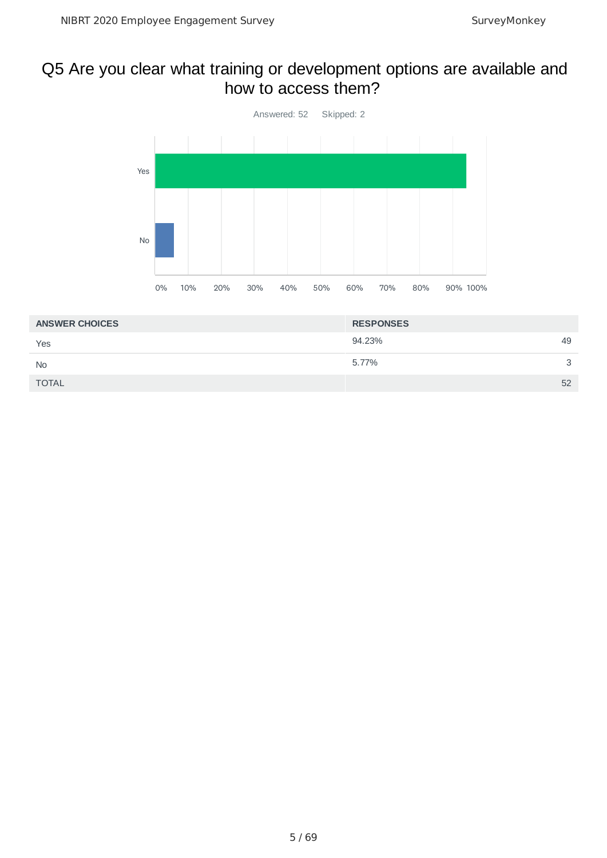### Q5 Are you clear what training or development options are available and how to access them?



| <b>ANSWER CHOICES</b> | <b>RESPONSES</b> |   |
|-----------------------|------------------|---|
| Yes                   | 94.23%<br>49     |   |
| <b>No</b>             | 5.77%            | 3 |
| <b>TOTAL</b>          | 52               |   |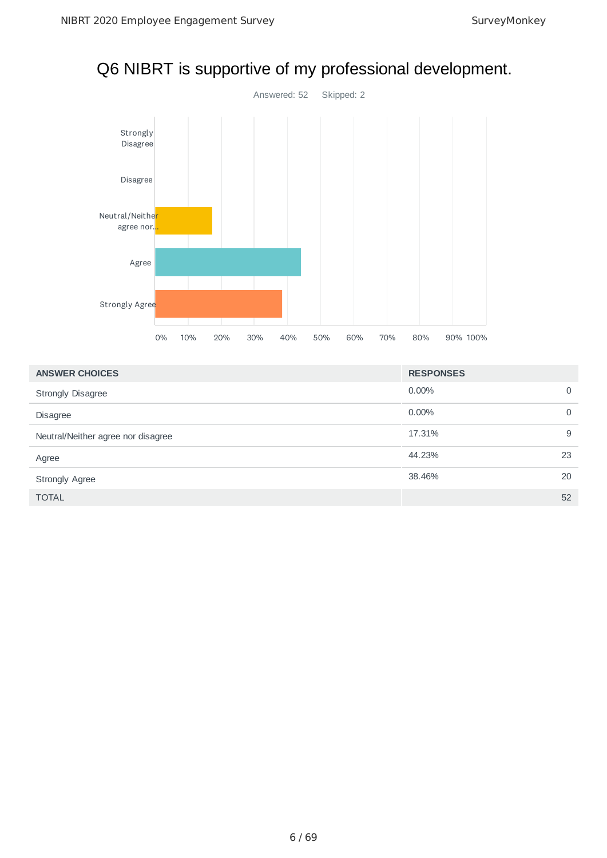

# Q6 NIBRT is supportive of my professional development.

| <b>ANSWER CHOICES</b>              | <b>RESPONSES</b> |             |
|------------------------------------|------------------|-------------|
| <b>Strongly Disagree</b>           | $0.00\%$         | $\mathbf 0$ |
| <b>Disagree</b>                    | $0.00\%$         | $\mathbf 0$ |
| Neutral/Neither agree nor disagree | 17.31%           | 9           |
| Agree                              | 44.23%           | 23          |
| <b>Strongly Agree</b>              | 38.46%           | 20          |
| <b>TOTAL</b>                       |                  | 52          |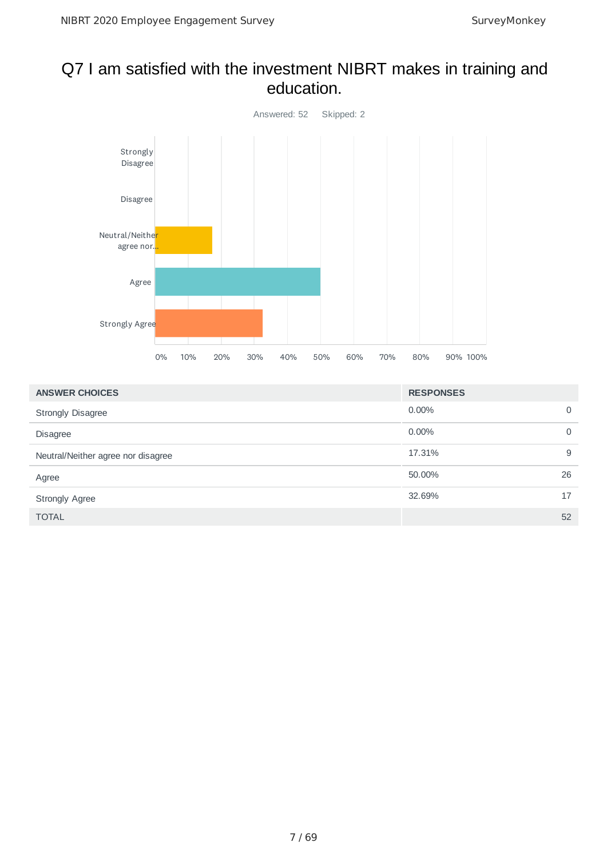### Q7 I am satisfied with the investment NIBRT makes in training and education.



| <b>ANSWER CHOICES</b>              | <b>RESPONSES</b> |    |
|------------------------------------|------------------|----|
| <b>Strongly Disagree</b>           | $0.00\%$         | 0  |
| <b>Disagree</b>                    | $0.00\%$         | 0  |
| Neutral/Neither agree nor disagree | 17.31%           | 9  |
| Agree                              | 50.00%           | 26 |
| <b>Strongly Agree</b>              | 32.69%           | 17 |
| <b>TOTAL</b>                       |                  | 52 |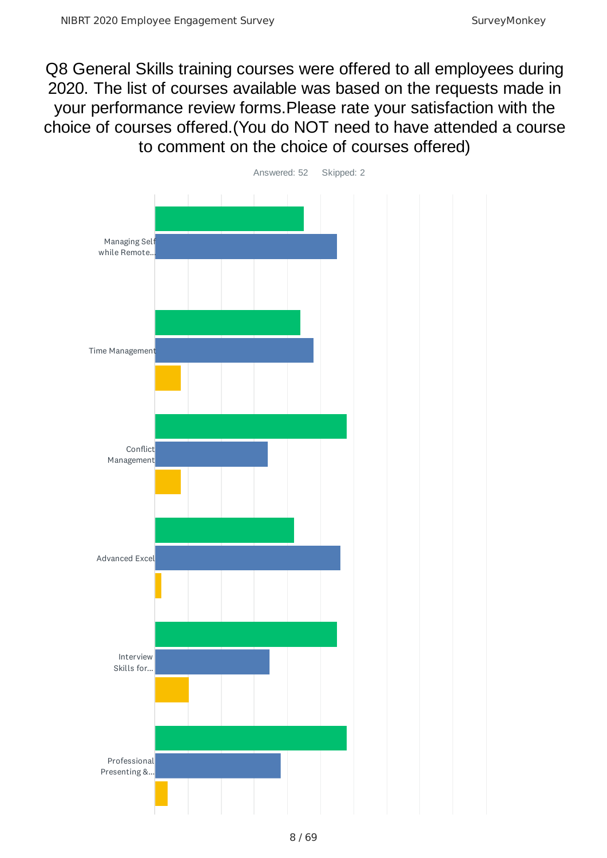Q8 General Skills training courses were offered to all employees during 2020. The list of courses available was based on the requests made in your performance review forms.Please rate your satisfaction with the choice of courses offered.(You do NOT need to have attended a course to comment on the choice of courses offered)

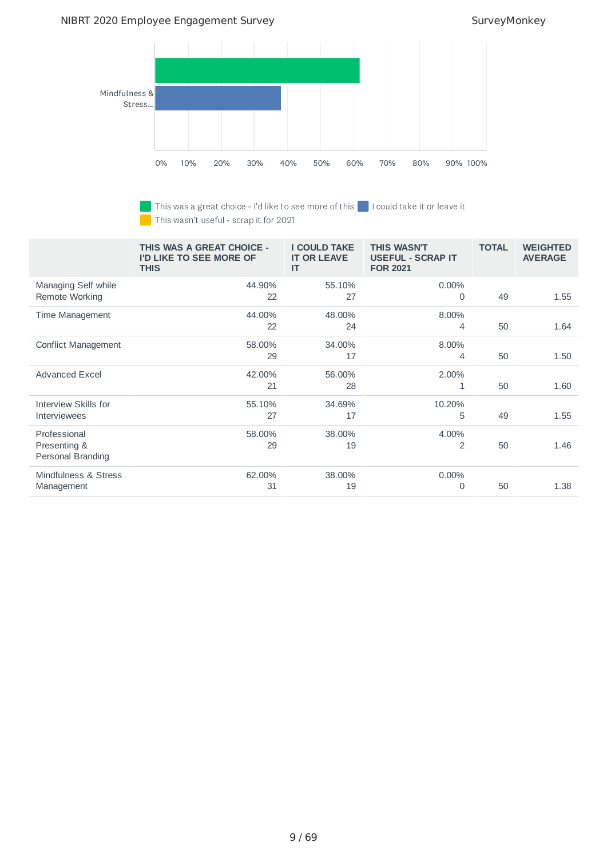#### NIBRT 2020 Employee Engagement Survey Survey SurveyMonkey



This was a great choice - I'd like to see more of this **I could take it or leave it** 

This wasn't useful - scrap it for 2021

|                                                   | THIS WAS A GREAT CHOICE -<br>I'D LIKE TO SEE MORE OF<br><b>THIS</b> | <b>I COULD TAKE</b><br><b>IT OR LEAVE</b><br>IT | <b>THIS WASN'T</b><br><b>USEFUL - SCRAP IT</b><br><b>FOR 2021</b> | <b>TOTAL</b> | <b>WEIGHTED</b><br><b>AVERAGE</b> |
|---------------------------------------------------|---------------------------------------------------------------------|-------------------------------------------------|-------------------------------------------------------------------|--------------|-----------------------------------|
| Managing Self while<br>Remote Working             | 44.90%<br>22                                                        | 55.10%<br>27                                    | $0.00\%$<br>0                                                     | 49           | 1.55                              |
| Time Management                                   | 44.00%<br>22                                                        | 48.00%<br>24                                    | 8.00%<br>4                                                        | 50           | 1.64                              |
| <b>Conflict Management</b>                        | 58.00%<br>29                                                        | 34.00%<br>17                                    | 8.00%<br>4                                                        | 50           | 1.50                              |
| <b>Advanced Excel</b>                             | 42.00%<br>21                                                        | 56.00%<br>28                                    | 2.00%<br>1                                                        | 50           | 1.60                              |
| Interview Skills for<br>Interviewees              | 55.10%<br>27                                                        | 34.69%<br>17                                    | 10.20%<br>5                                                       | 49           | 1.55                              |
| Professional<br>Presenting &<br>Personal Branding | 58.00%<br>29                                                        | 38.00%<br>19                                    | 4.00%<br>$\overline{2}$                                           | 50           | 1.46                              |
| Mindfulness & Stress<br>Management                | 62.00%<br>31                                                        | 38.00%<br>19                                    | $0.00\%$<br>0                                                     | 50           | 1.38                              |

9 / 69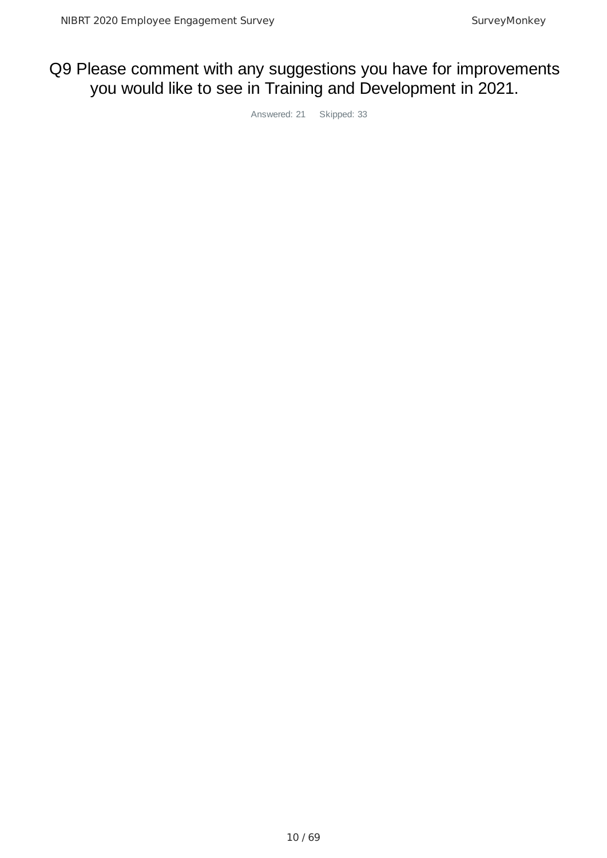# Q9 Please comment with any suggestions you have for improvements you would like to see in Training and Development in 2021.

Answered: 21 Skipped: 33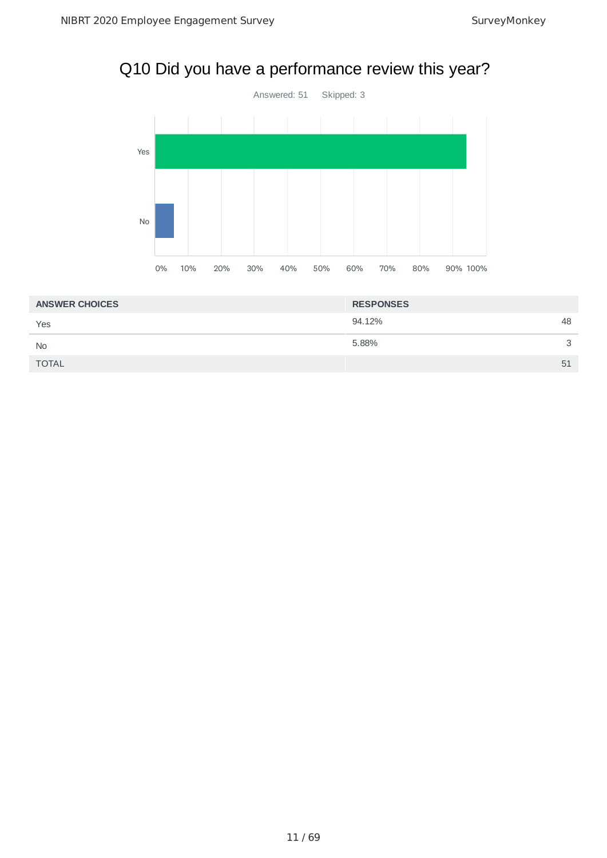# Q10 Did you have a performance review this year?



| <b>ANSWER CHOICES</b> | <b>RESPONSES</b> |    |
|-----------------------|------------------|----|
| Yes                   | 94.12%           | 48 |
| <b>No</b>             | 5.88%            | 3  |
| <b>TOTAL</b>          |                  | 51 |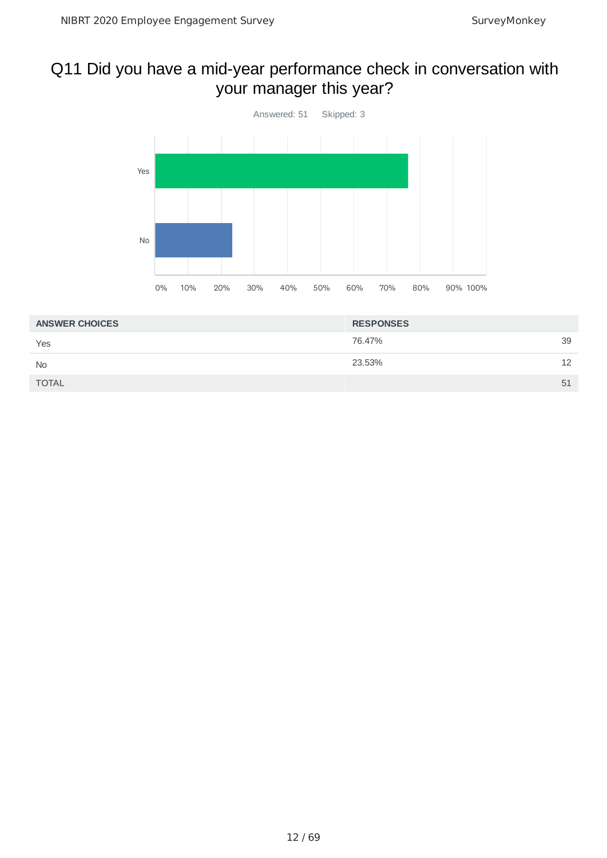# Q11 Did you have a mid-year performance check in conversation with your manager this year?



| <b>ANSWER CHOICES</b> | <b>RESPONSES</b> |    |
|-----------------------|------------------|----|
| Yes                   | 76.47%           | 39 |
| <b>No</b>             | 23.53%           | 12 |
| <b>TOTAL</b>          |                  | 51 |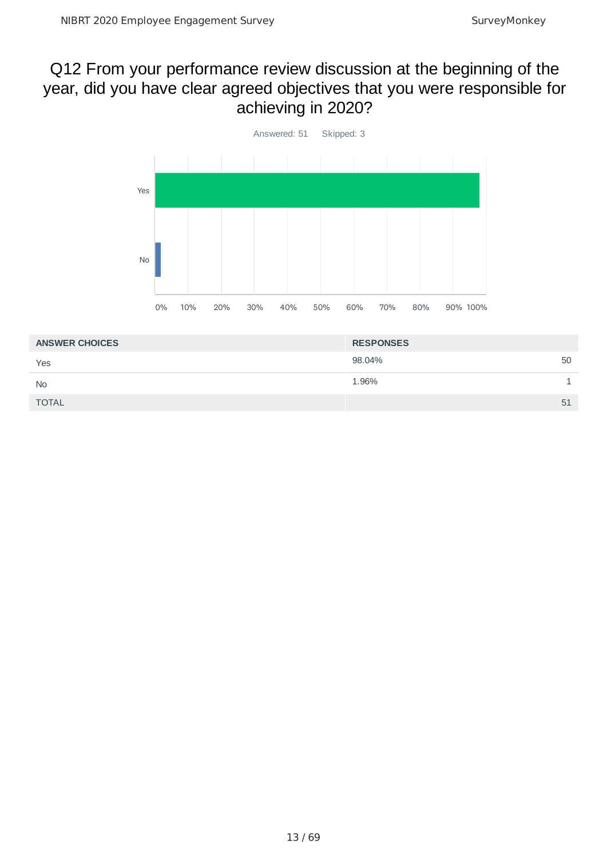### Q12 From your performance review discussion at the beginning of the year, did you have clear agreed objectives that you were responsible for achieving in 2020?



| <b>ANSWER CHOICES</b> | <b>RESPONSES</b> |    |
|-----------------------|------------------|----|
| Yes                   | 98.04%           | 50 |
| <b>No</b>             | 1.96%            |    |
| <b>TOTAL</b>          |                  | 51 |
|                       |                  |    |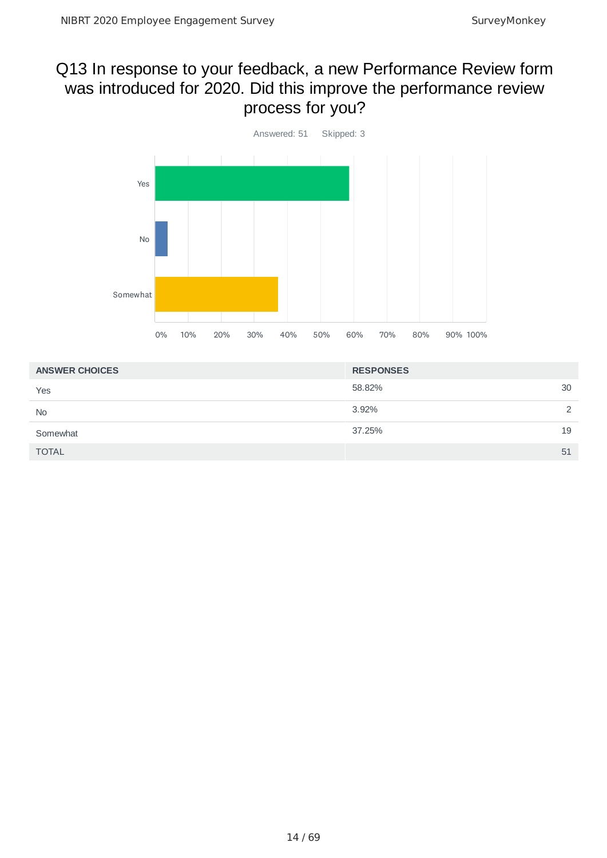### Q13 In response to your feedback, a new Performance Review form was introduced for 2020. Did this improve the performance review process for you?



| <b>ANSWER CHOICES</b> | <b>RESPONSES</b> |               |
|-----------------------|------------------|---------------|
| Yes                   | 58.82%           | 30            |
| <b>No</b>             | 3.92%            | $\mathcal{P}$ |
| Somewhat              | 37.25%           | 19            |
| <b>TOTAL</b>          |                  | 51            |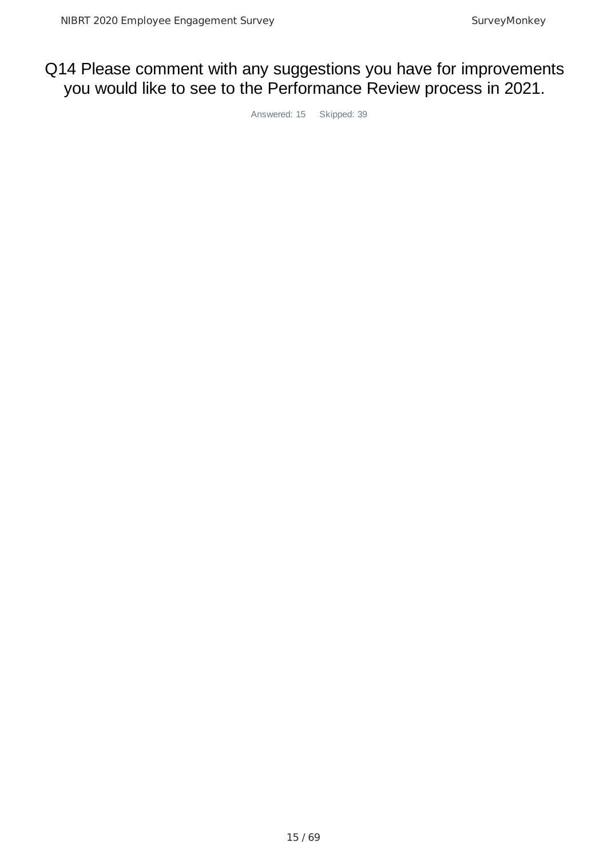### Q14 Please comment with any suggestions you have for improvements you would like to see to the Performance Review process in 2021.

Answered: 15 Skipped: 39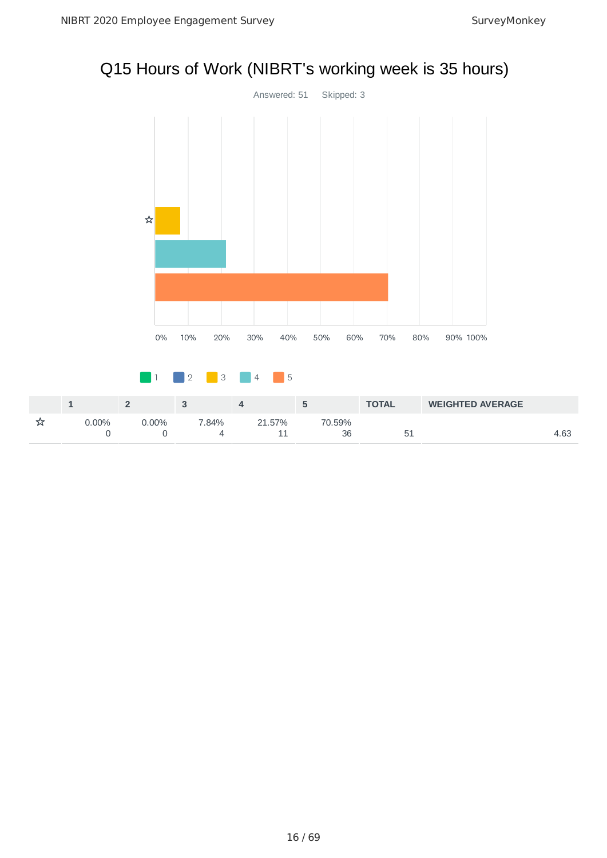# Q15 Hours of Work (NIBRT's working week is 35 hours)



|          |     |         |                  |              | <b>TOTAL</b> | <b>WEIGHTED AVERAGE</b> |      |
|----------|-----|---------|------------------|--------------|--------------|-------------------------|------|
| $7.00\%$ | 00% | $.84\%$ | .57%<br>21<br>-- | 70.59%<br>36 | ∽<br>ັ       |                         | 4.63 |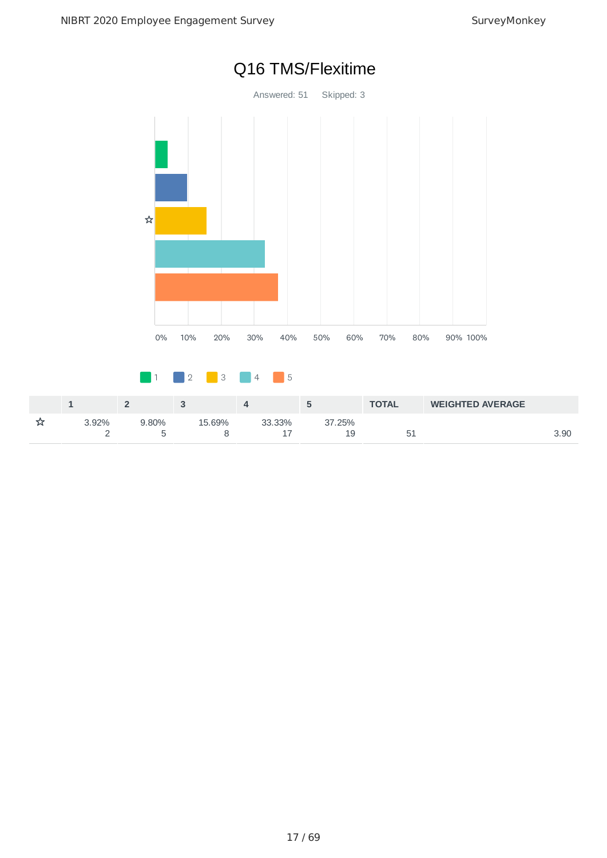

# Q16 TMS/Flexitime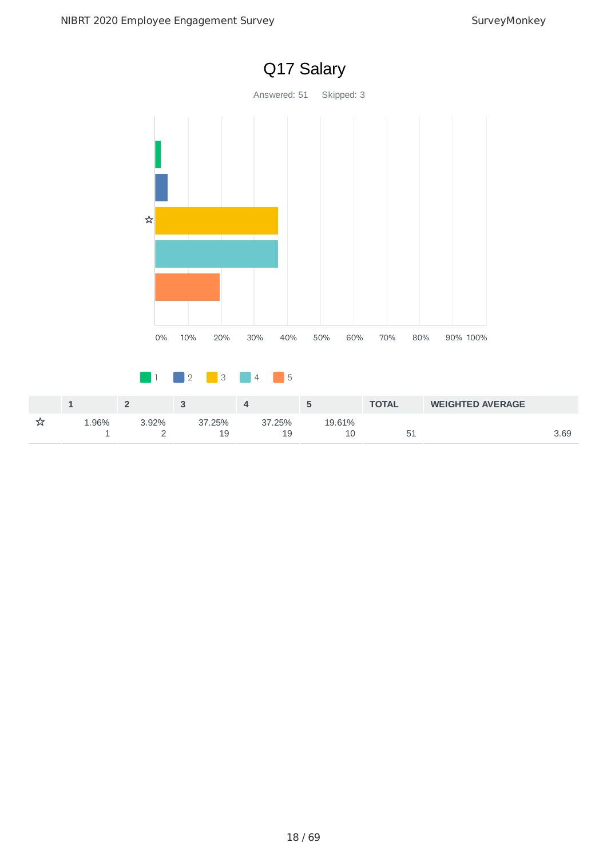

#### 18 / 69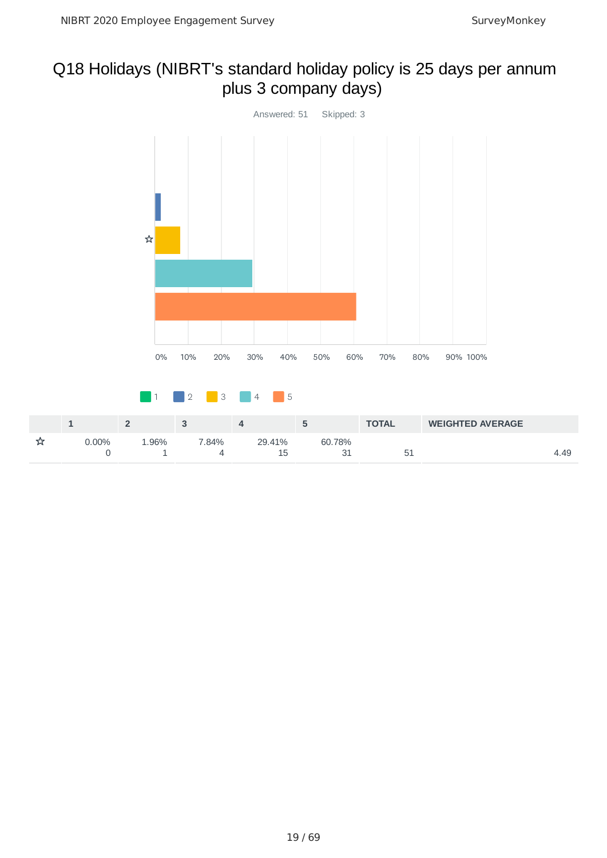# Q18 Holidays (NIBRT's standard holiday policy is 25 days per annum plus 3 company days)

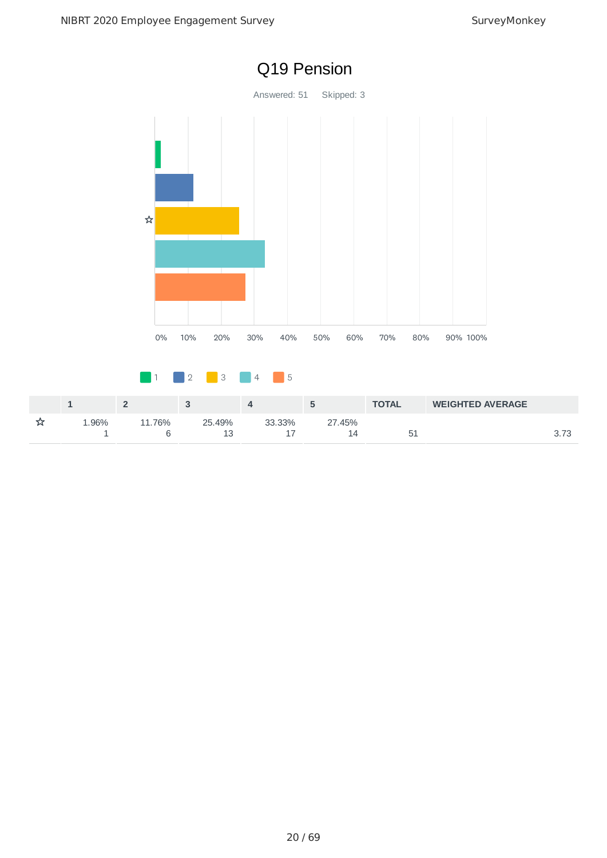

# Q19 Pension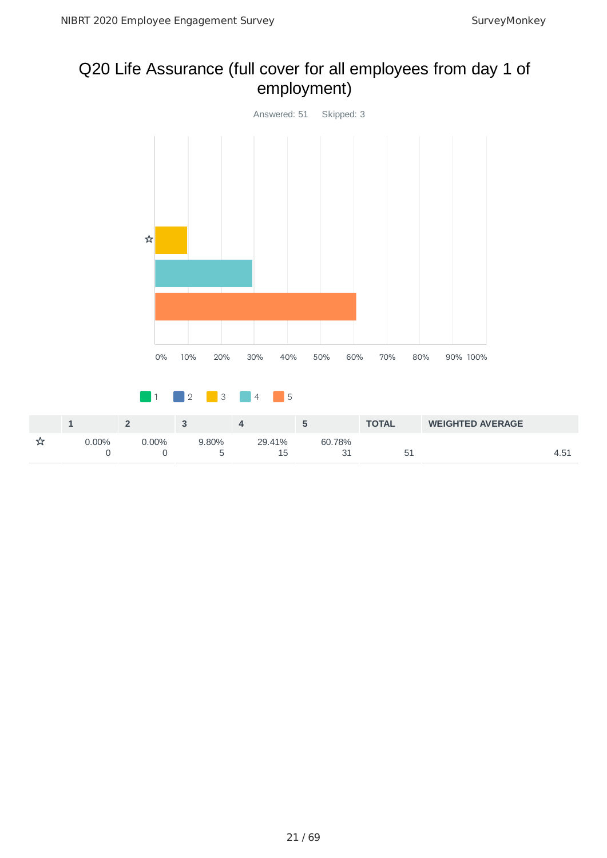### Q20 Life Assurance (full cover for all employees from day 1 of employment)

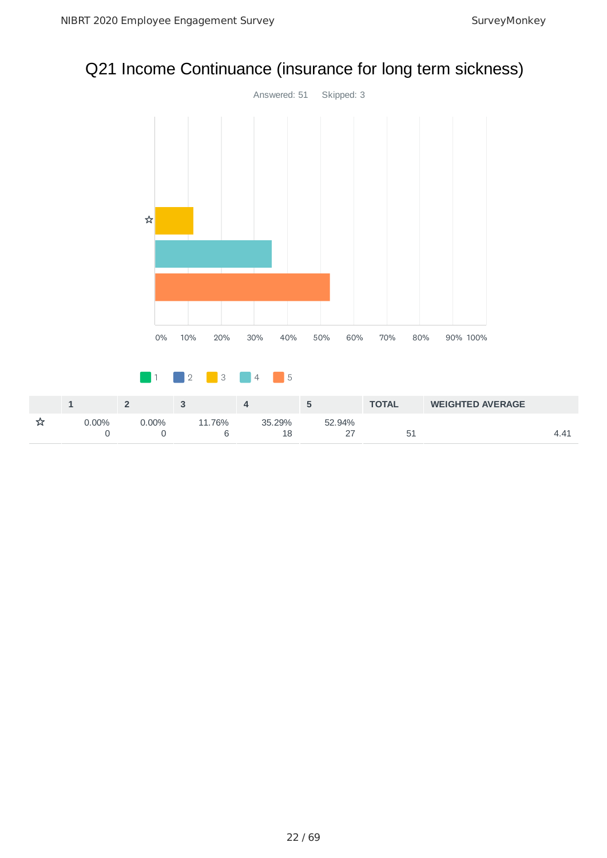# Q21 Income Continuance (insurance for long term sickness)



|          |         |        |              |        | <b>TOTAL</b> | <b>WEIGHTED AVERAGE</b> |  |
|----------|---------|--------|--------------|--------|--------------|-------------------------|--|
| $0.00\%$ | $.00\%$ | 11.76% | 35.29%<br>18 | 52.94% | 51           |                         |  |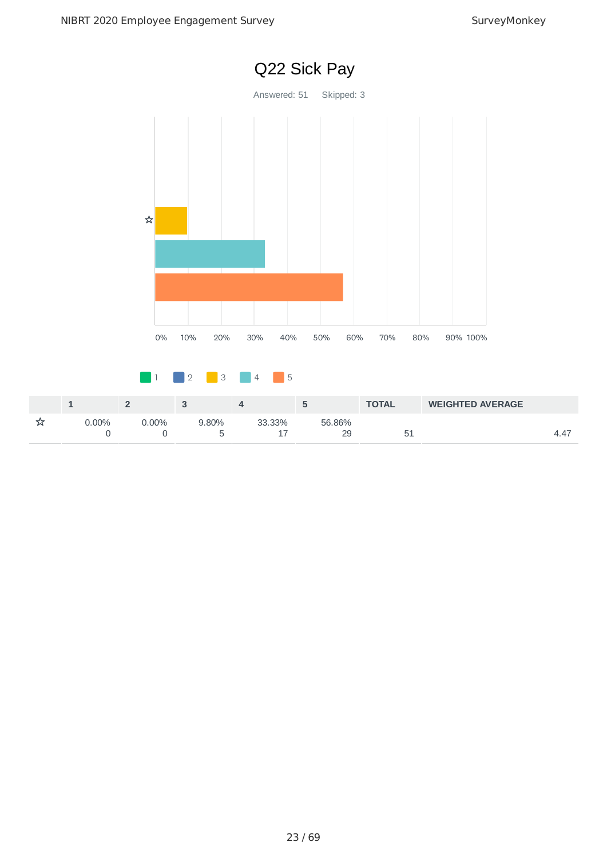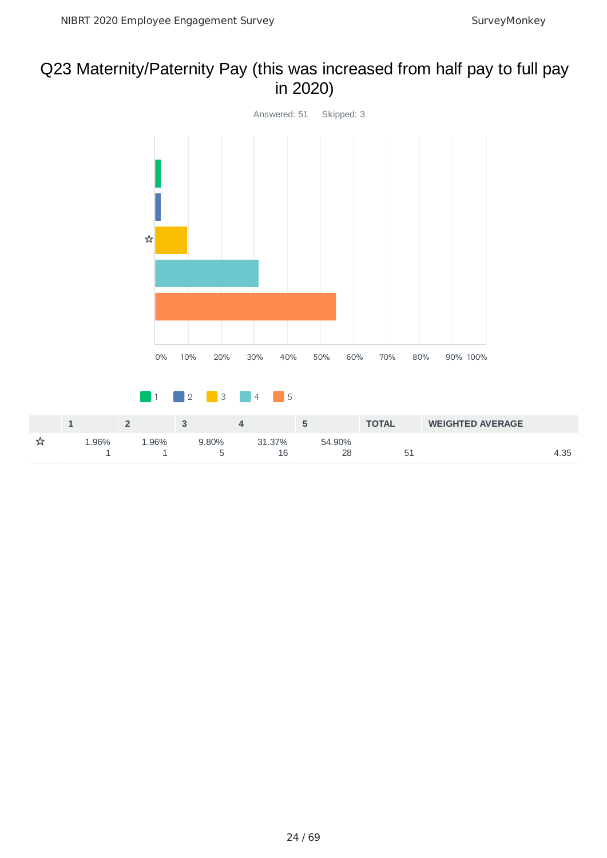### Q23 Maternity/Paternity Pay (this was increased from half pay to full pay in 2020)

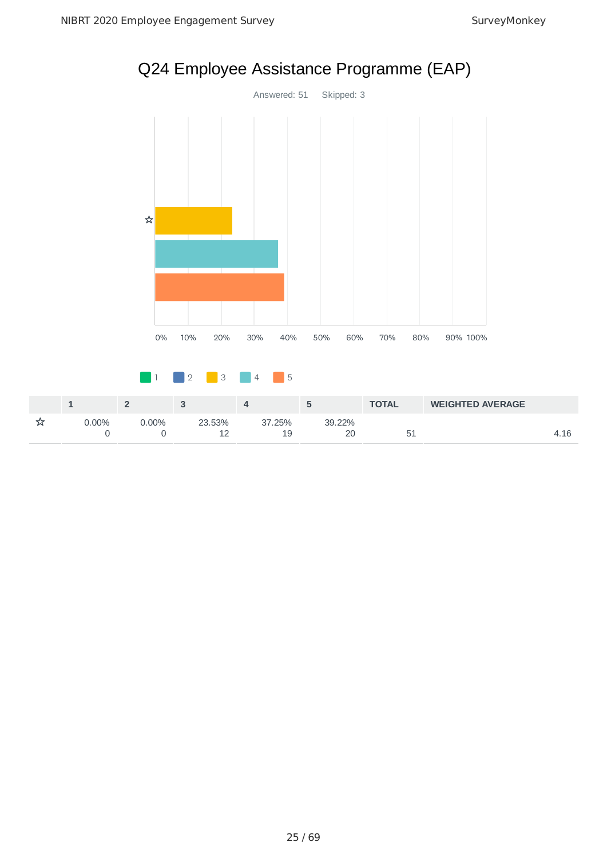

# Q24 Employee Assistance Programme (EAP)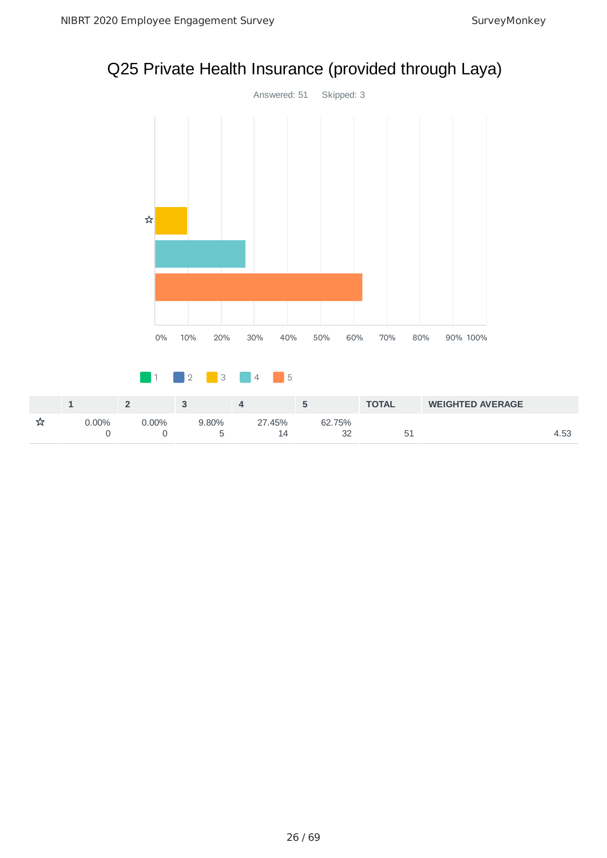# Q25 Private Health Insurance (provided through Laya)



|     |             |      |          |           | <b>TOTAL</b> | <b>WEIGHTED AVERAGE</b> |      |
|-----|-------------|------|----------|-----------|--------------|-------------------------|------|
| 00% | $\cdot$ 00% | .80% | .45%     | 75%<br>62 |              |                         |      |
|     |             |      | IД<br>-- | $\sim$    | 5<br>◡∸      |                         | - 53 |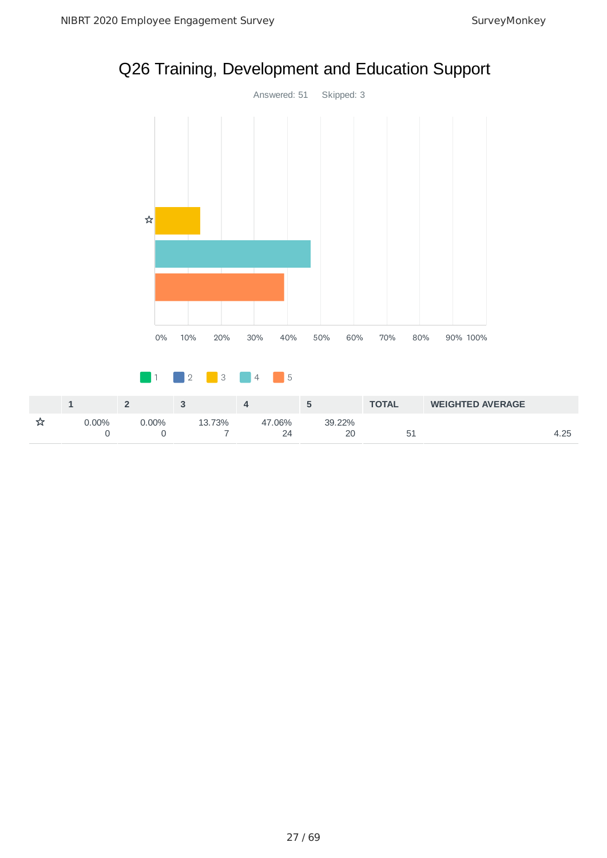

# Q26 Training, Development and Education Support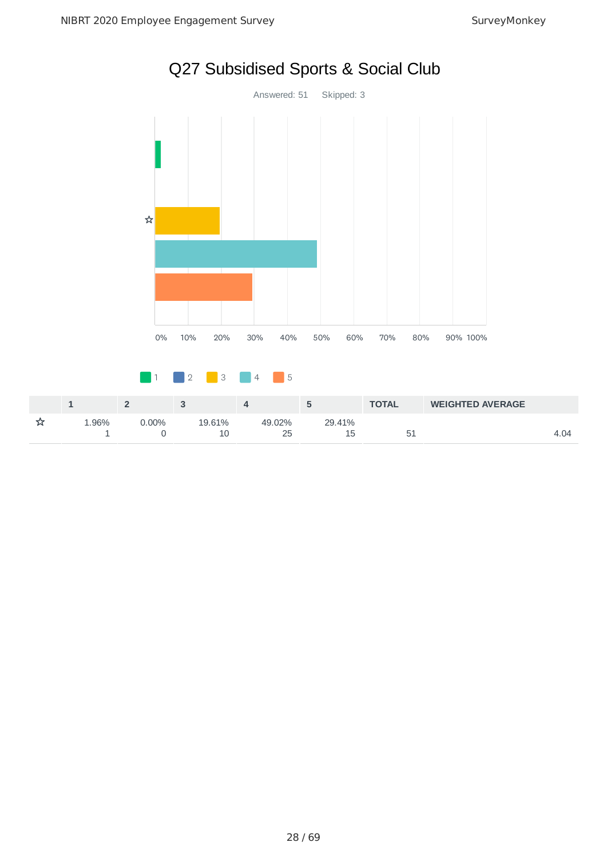

# Q27 Subsidised Sports & Social Club

|       |          |             |              |             | <b>TOTAL</b> | <b>WEIGHTED AVERAGE</b> |      |
|-------|----------|-------------|--------------|-------------|--------------|-------------------------|------|
| 1.96% | $0.00\%$ | 19.61%<br>∸ | 49.02%<br>25 | 29.41%<br>ᆠ | ັ            |                         | 4.04 |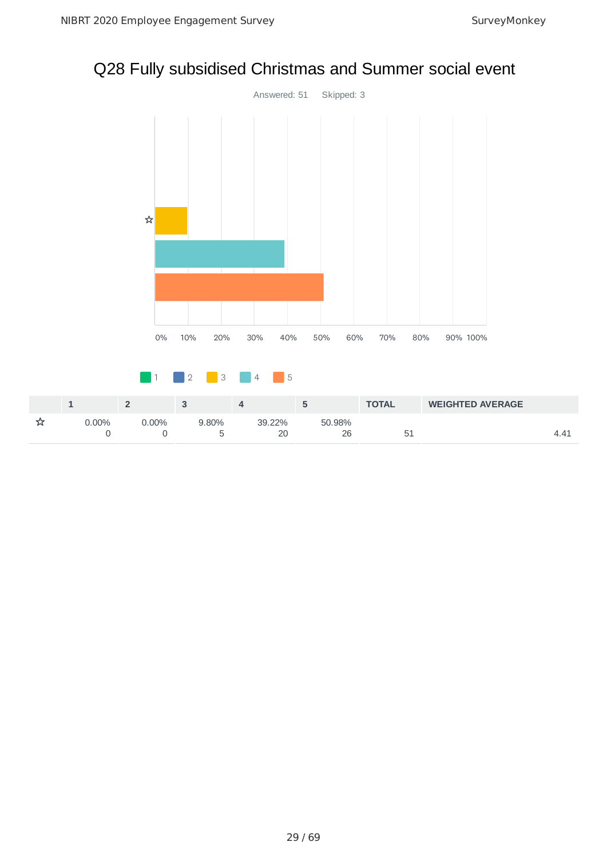# Q28 Fully subsidised Christmas and Summer social event



|          |          |       |        |        | <b>TOTAL</b> | <b>WEIGHTED AVERAGE</b> |  |
|----------|----------|-------|--------|--------|--------------|-------------------------|--|
| $0.00\%$ | $7.00\%$ | 9.80% | 39.22% | 50.98% |              |                         |  |
|          |          |       | 20     |        | ᅩ            |                         |  |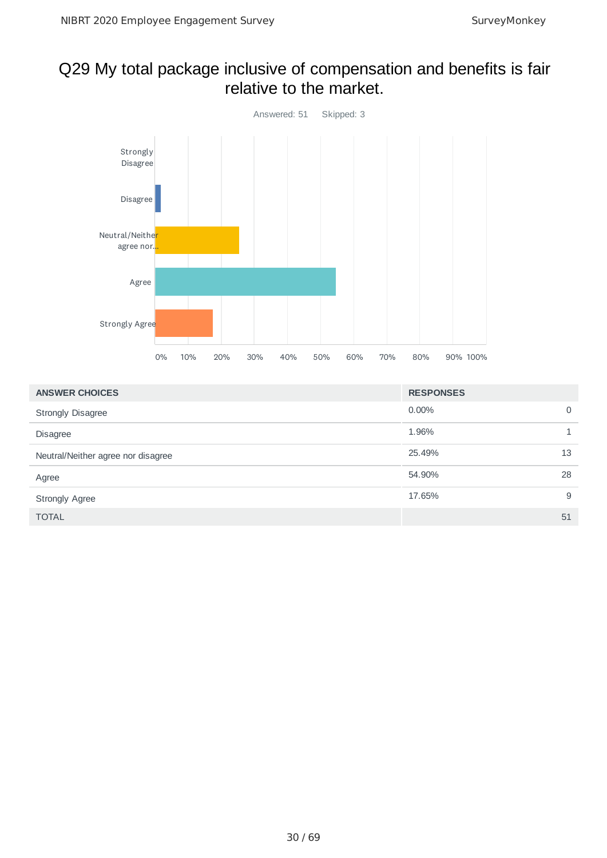### Q29 My total package inclusive of compensation and benefits is fair relative to the market.



| <b>ANSWER CHOICES</b>              | <b>RESPONSES</b> |    |
|------------------------------------|------------------|----|
| <b>Strongly Disagree</b>           | $0.00\%$         | 0  |
| <b>Disagree</b>                    | 1.96%            |    |
| Neutral/Neither agree nor disagree | 25.49%           | 13 |
| Agree                              | 54.90%           | 28 |
| <b>Strongly Agree</b>              | 17.65%           | 9  |
| <b>TOTAL</b>                       |                  | 51 |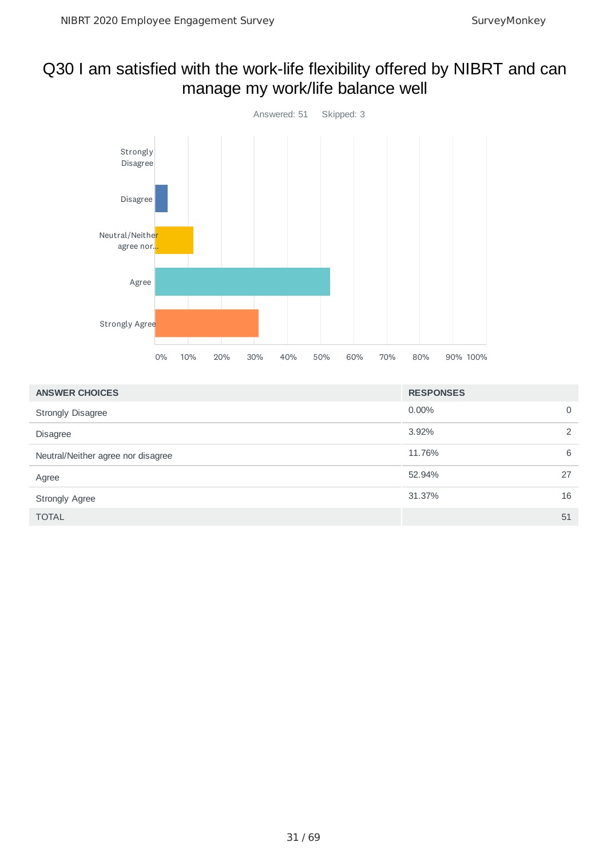### Q30 I am satisfied with the work-life flexibility offered by NIBRT and can manage my work/life balance well



| <b>ANSWER CHOICES</b>              | <b>RESPONSES</b> |               |
|------------------------------------|------------------|---------------|
| <b>Strongly Disagree</b>           | $0.00\%$         | 0             |
| <b>Disagree</b>                    | 3.92%            | $\mathcal{P}$ |
| Neutral/Neither agree nor disagree | 11.76%           | 6             |
| Agree                              | 52.94%           | 27            |
| <b>Strongly Agree</b>              | 31.37%           | 16            |
| <b>TOTAL</b>                       |                  | 51            |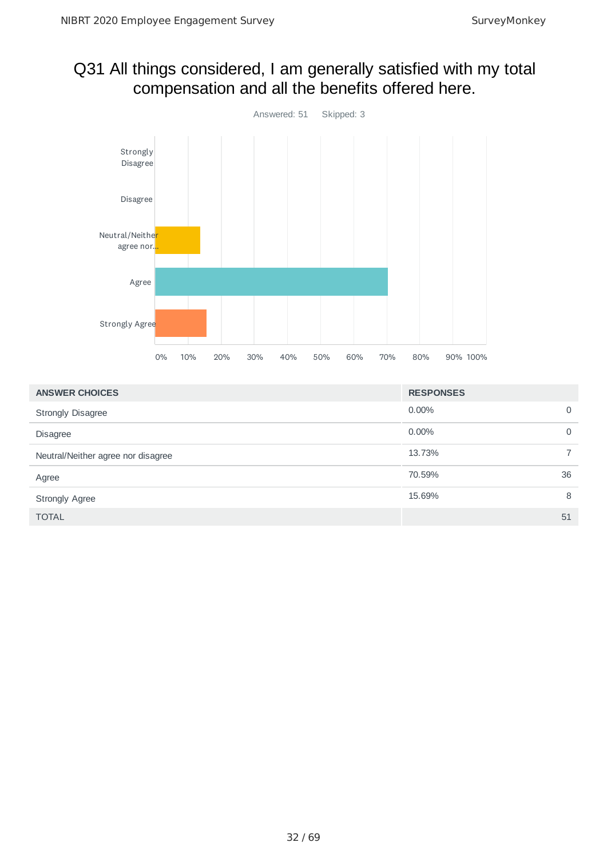### Q31 All things considered, I am generally satisfied with my total compensation and all the benefits offered here.



| <b>ANSWER CHOICES</b>              | <b>RESPONSES</b> |    |
|------------------------------------|------------------|----|
| <b>Strongly Disagree</b>           | $0.00\%$         | 0  |
| <b>Disagree</b>                    | $0.00\%$         | 0  |
| Neutral/Neither agree nor disagree | 13.73%           |    |
| Agree                              | 70.59%           | 36 |
| <b>Strongly Agree</b>              | 15.69%           | 8  |
| <b>TOTAL</b>                       |                  | 51 |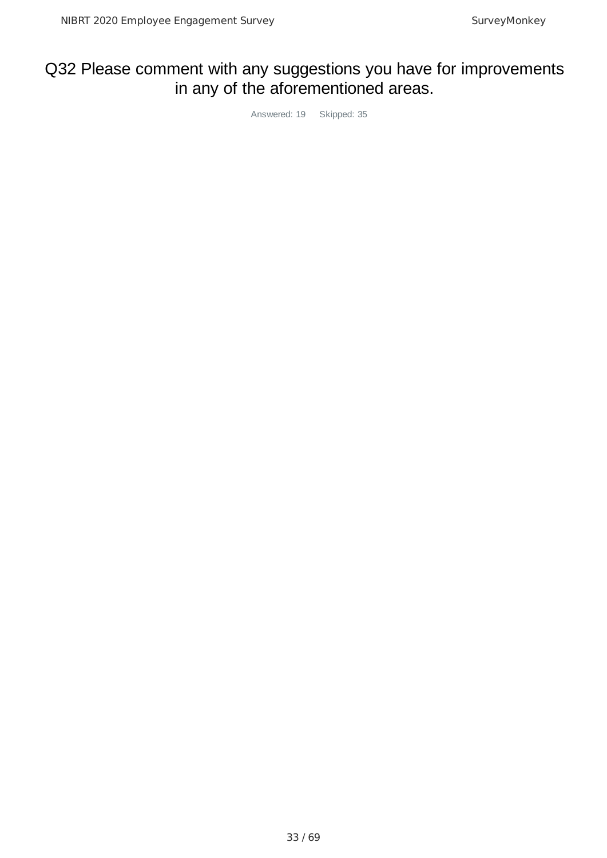# Q32 Please comment with any suggestions you have for improvements in any of the aforementioned areas.

Answered: 19 Skipped: 35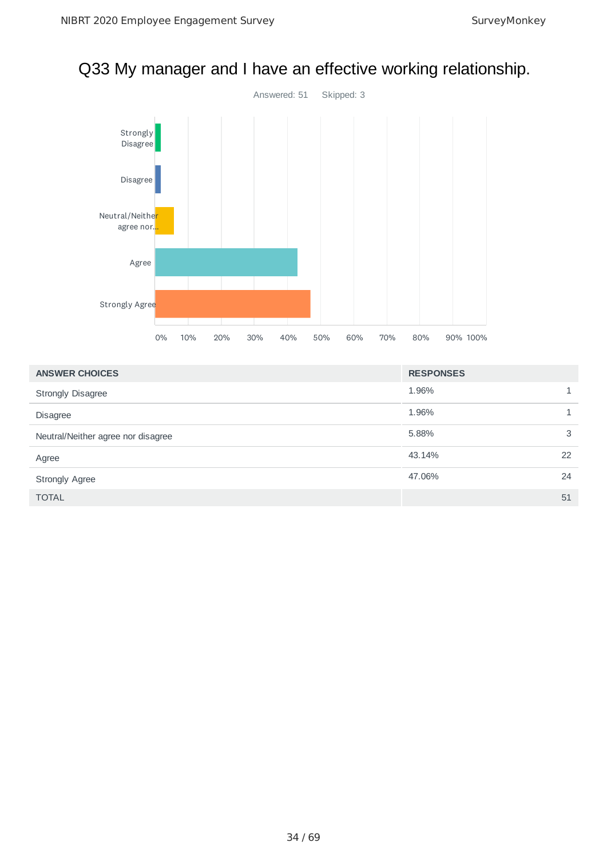# Q33 My manager and I have an effective working relationship.



| <b>ANSWER CHOICES</b>              | <b>RESPONSES</b> |    |
|------------------------------------|------------------|----|
| <b>Strongly Disagree</b>           | 1.96%            |    |
| <b>Disagree</b>                    | 1.96%            |    |
| Neutral/Neither agree nor disagree | 5.88%            | 3  |
| Agree                              | 43.14%           | 22 |
| <b>Strongly Agree</b>              | 47.06%           | 24 |
| <b>TOTAL</b>                       |                  | 51 |

#### 34 / 69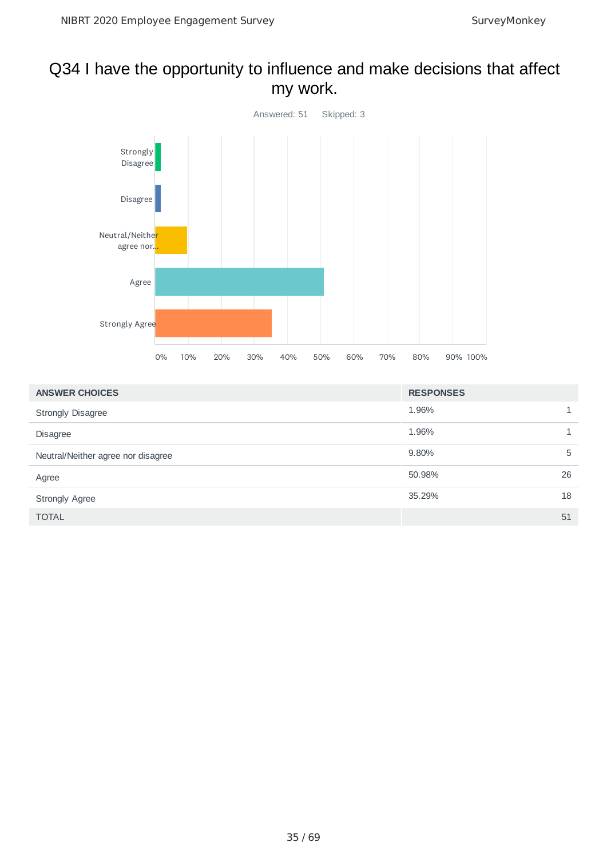### Q34 I have the opportunity to influence and make decisions that affect my work.



| <b>ANSWER CHOICES</b>              | <b>RESPONSES</b> |    |
|------------------------------------|------------------|----|
| <b>Strongly Disagree</b>           | 1.96%            | 1  |
| <b>Disagree</b>                    | 1.96%            |    |
| Neutral/Neither agree nor disagree | 9.80%            | 5  |
| Agree                              | 50.98%           | 26 |
| <b>Strongly Agree</b>              | 35.29%           | 18 |
| <b>TOTAL</b>                       |                  | 51 |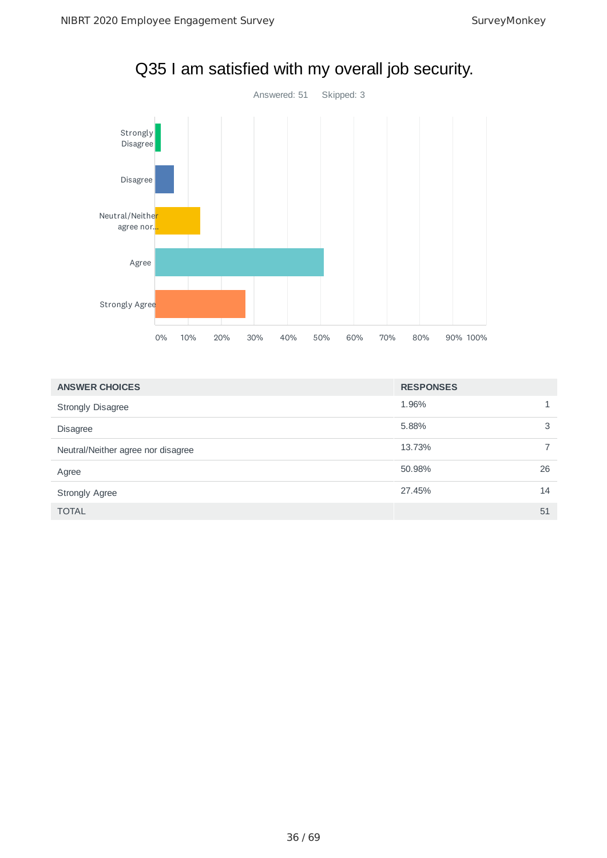

Q35 I am satisfied with my overall job security.

| <b>ANSWER CHOICES</b>              | <b>RESPONSES</b> |    |
|------------------------------------|------------------|----|
| <b>Strongly Disagree</b>           | 1.96%            |    |
| <b>Disagree</b>                    | 5.88%            | 3  |
| Neutral/Neither agree nor disagree | 13.73%           |    |
| Agree                              | 50.98%           | 26 |
| <b>Strongly Agree</b>              | 27.45%           | 14 |
| <b>TOTAL</b>                       |                  | 51 |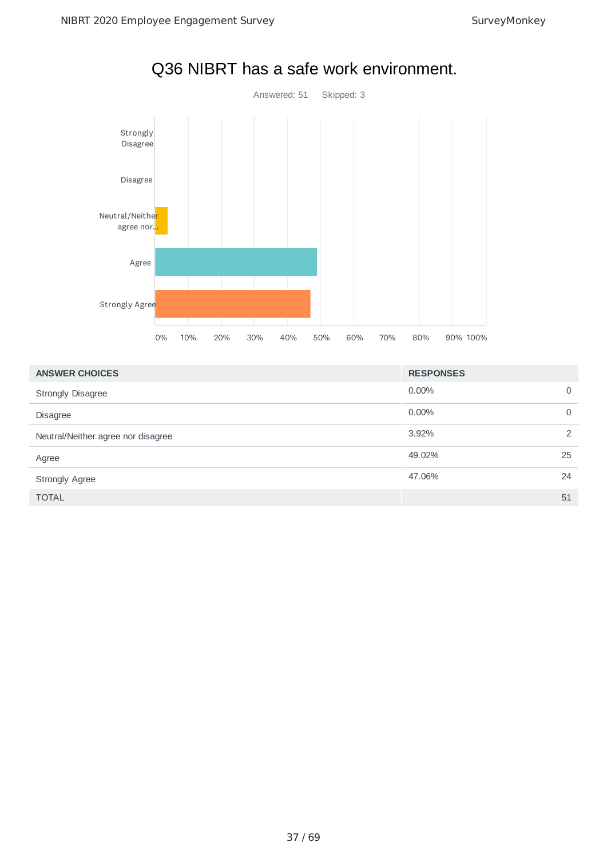

# Q36 NIBRT has a safe work environment.

| <b>ANSWER CHOICES</b>              | <b>RESPONSES</b> |               |
|------------------------------------|------------------|---------------|
| <b>Strongly Disagree</b>           | $0.00\%$         | $\Omega$      |
| <b>Disagree</b>                    | $0.00\%$         | 0             |
| Neutral/Neither agree nor disagree | 3.92%            | $\mathcal{P}$ |
| Agree                              | 49.02%           | 25            |
| <b>Strongly Agree</b>              | 47.06%           | 24            |
| <b>TOTAL</b>                       |                  | 51            |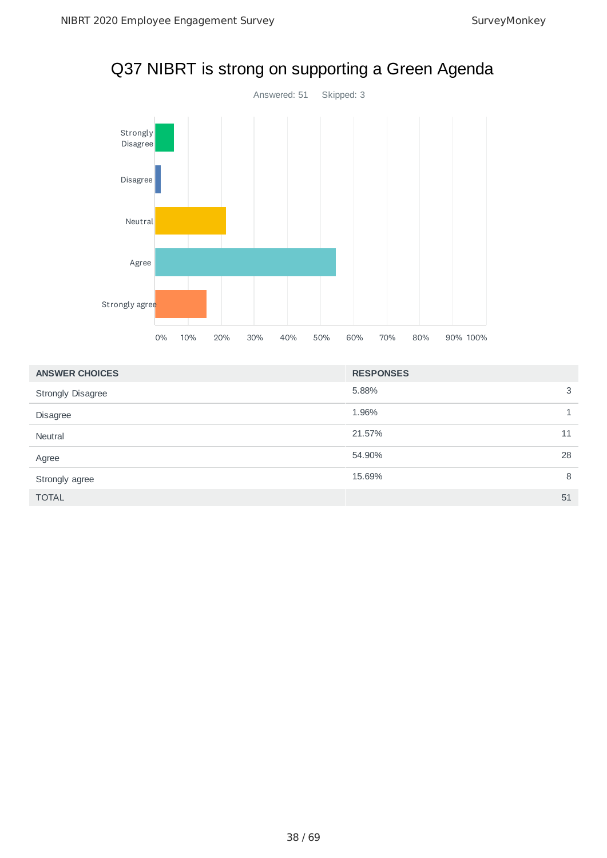

|  |  |  | Q37 NIBRT is strong on supporting a Green Agenda |
|--|--|--|--------------------------------------------------|
|--|--|--|--------------------------------------------------|

| <b>ANSWER CHOICES</b>    | <b>RESPONSES</b> |
|--------------------------|------------------|
| <b>Strongly Disagree</b> | 3<br>5.88%       |
| <b>Disagree</b>          | 1.96%            |
| Neutral                  | 21.57%<br>11     |
| Agree                    | 28<br>54.90%     |
| Strongly agree           | 15.69%<br>8      |
| <b>TOTAL</b>             | 51               |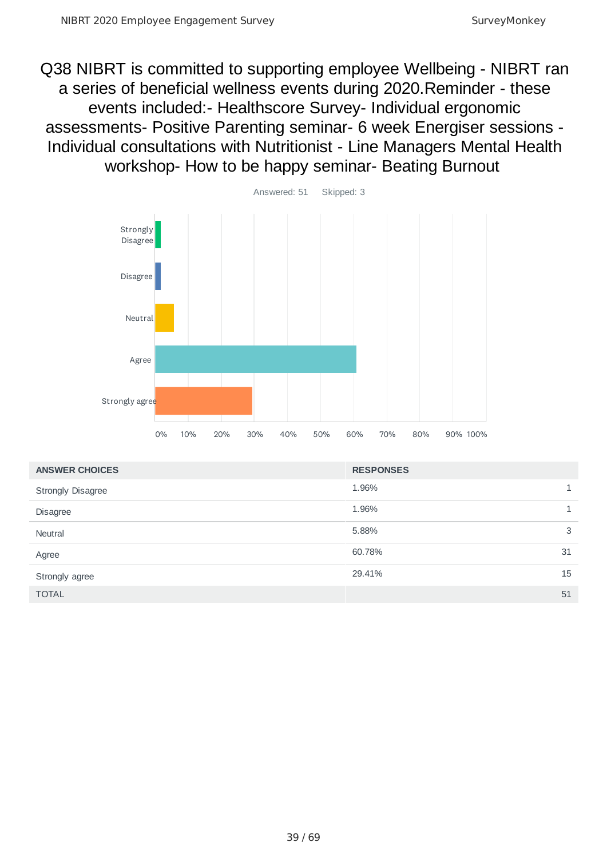Q38 NIBRT is committed to supporting employee Wellbeing - NIBRT ran a series of beneficial wellness events during 2020.Reminder - these events included:- Healthscore Survey- Individual ergonomic assessments- Positive Parenting seminar- 6 week Energiser sessions - Individual consultations with Nutritionist - Line Managers Mental Health workshop- How to be happy seminar- Beating Burnout



| <b>ANSWER CHOICES</b> | <b>RESPONSES</b> |              |
|-----------------------|------------------|--------------|
| Strongly Disagree     | 1.96%            | $\mathbf{1}$ |
| <b>Disagree</b>       | 1.96%            |              |
| Neutral               | 5.88%            | 3            |
| Agree                 | 60.78%           | 31           |
| Strongly agree        | 29.41%           | 15           |
| <b>TOTAL</b>          |                  | 51           |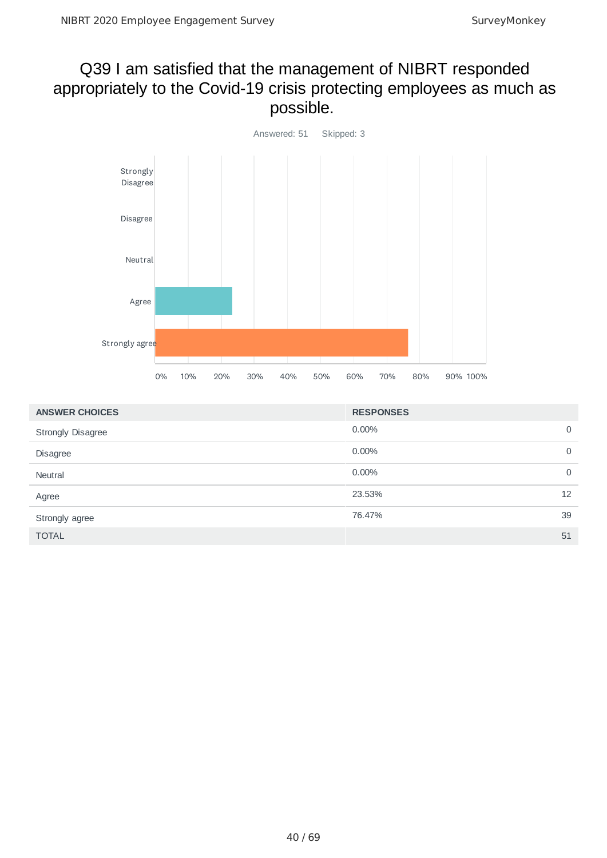### Q39 I am satisfied that the management of NIBRT responded appropriately to the Covid-19 crisis protecting employees as much as possible.



| <b>ANSWER CHOICES</b>    | <b>RESPONSES</b> |             |
|--------------------------|------------------|-------------|
| <b>Strongly Disagree</b> | 0.00%            | $\mathbf 0$ |
| Disagree                 | 0.00%            | 0           |
| Neutral                  | 0.00%            | 0           |
| Agree                    | 23.53%           | 12          |
| Strongly agree           | 76.47%           | 39          |
| <b>TOTAL</b>             |                  | 51          |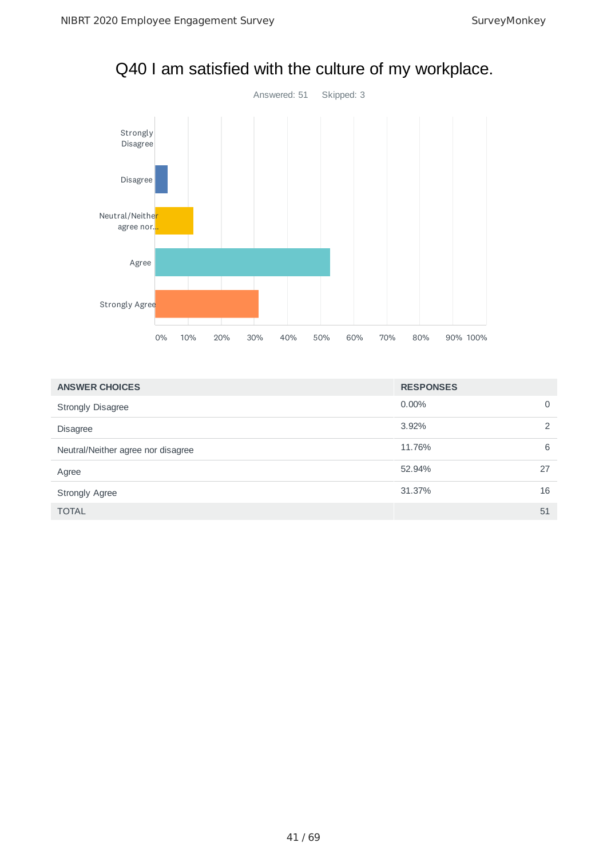

Q40 I am satisfied with the culture of my workplace.

| <b>ANSWER CHOICES</b>              | <b>RESPONSES</b> |    |
|------------------------------------|------------------|----|
| <b>Strongly Disagree</b>           | $0.00\%$         | 0  |
| <b>Disagree</b>                    | 3.92%            | ◠  |
| Neutral/Neither agree nor disagree | 11.76%           | 6  |
| Agree                              | 52.94%           | 27 |
| <b>Strongly Agree</b>              | 31.37%           | 16 |
| <b>TOTAL</b>                       |                  | 51 |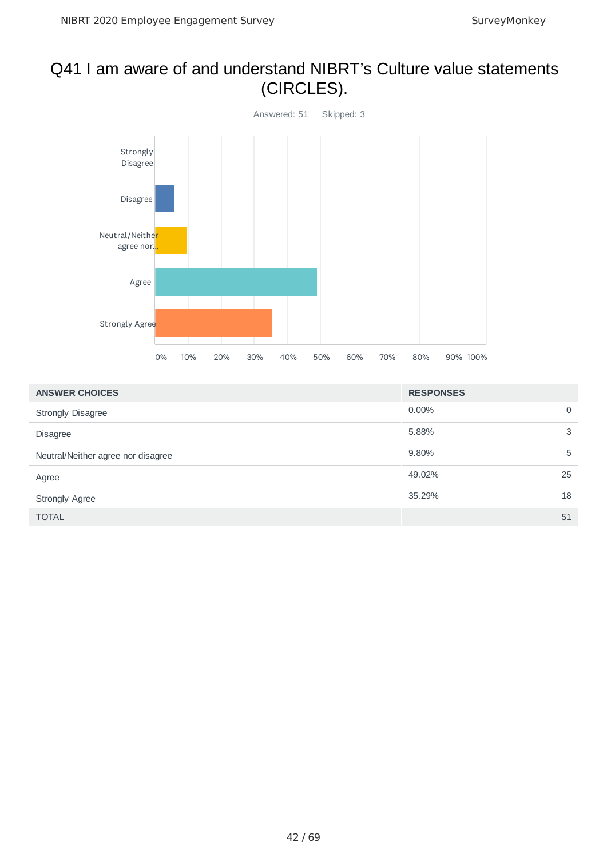# Q41 I am aware of and understand NIBRT's Culture value statements (CIRCLES).



| <b>ANSWER CHOICES</b>              | <b>RESPONSES</b> |    |
|------------------------------------|------------------|----|
| <b>Strongly Disagree</b>           | $0.00\%$         | 0  |
| <b>Disagree</b>                    | 5.88%            | 3  |
| Neutral/Neither agree nor disagree | 9.80%            | 5  |
| Agree                              | 49.02%           | 25 |
| <b>Strongly Agree</b>              | 35.29%           | 18 |
| <b>TOTAL</b>                       |                  | 51 |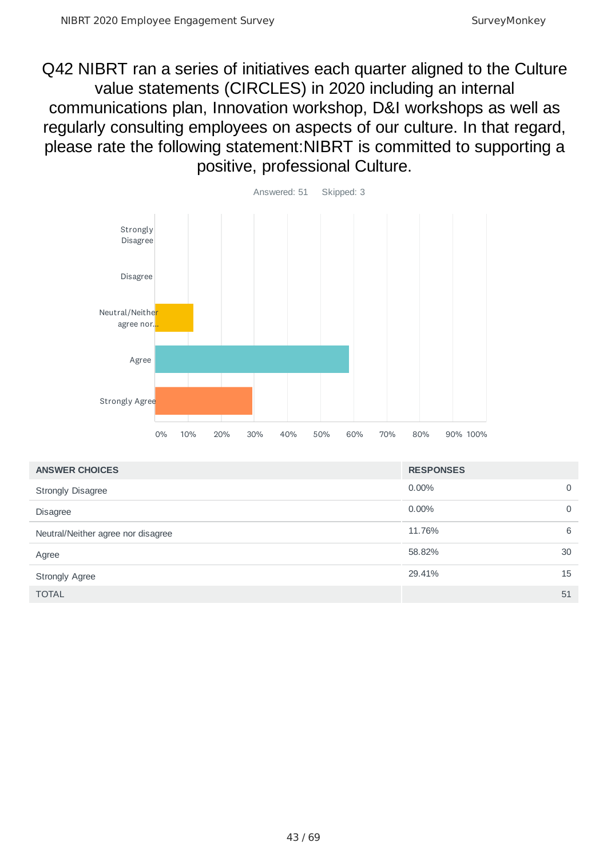Q42 NIBRT ran a series of initiatives each quarter aligned to the Culture value statements (CIRCLES) in 2020 including an internal communications plan, Innovation workshop, D&I workshops as well as regularly consulting employees on aspects of our culture. In that regard, please rate the following statement:NIBRT is committed to supporting a positive, professional Culture.



| <b>ANSWER CHOICES</b>              | <b>RESPONSES</b> |             |
|------------------------------------|------------------|-------------|
| <b>Strongly Disagree</b>           | $0.00\%$         | $\mathbf 0$ |
| <b>Disagree</b>                    | $0.00\%$         | $\mathbf 0$ |
| Neutral/Neither agree nor disagree | 11.76%           | 6           |
| Agree                              | 58.82%           | 30          |
| <b>Strongly Agree</b>              | 29.41%           | 15          |
| <b>TOTAL</b>                       |                  | 51          |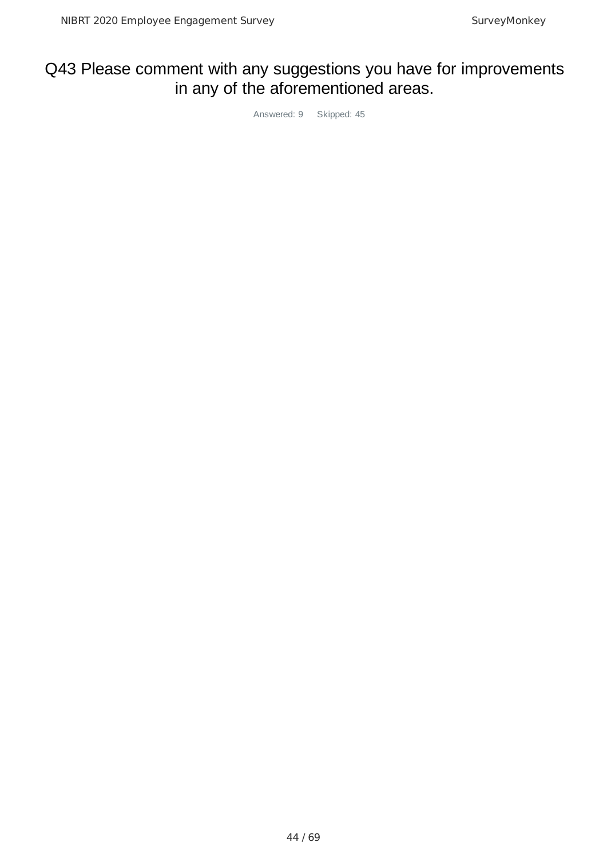# Q43 Please comment with any suggestions you have for improvements in any of the aforementioned areas.

Answered: 9 Skipped: 45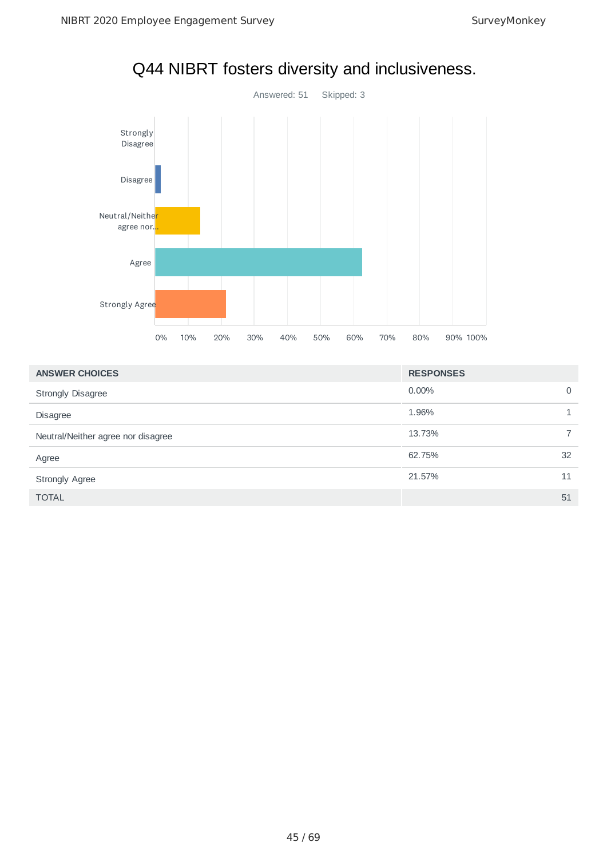

# Q44 NIBRT fosters diversity and inclusiveness.

| <b>ANSWER CHOICES</b>              | <b>RESPONSES</b> |    |
|------------------------------------|------------------|----|
| <b>Strongly Disagree</b>           | $0.00\%$         | 0  |
| <b>Disagree</b>                    | 1.96%            |    |
| Neutral/Neither agree nor disagree | 13.73%           |    |
| Agree                              | 62.75%           | 32 |
| <b>Strongly Agree</b>              | 21.57%           | 11 |
| <b>TOTAL</b>                       |                  | 51 |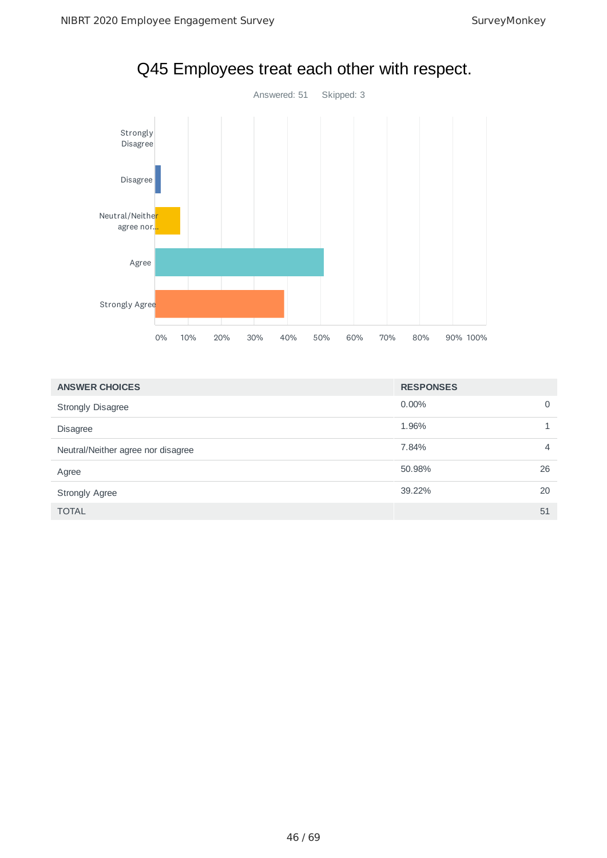

Q45 Employees treat each other with respect.

| <b>ANSWER CHOICES</b>              | <b>RESPONSES</b> |    |
|------------------------------------|------------------|----|
| <b>Strongly Disagree</b>           | 0.00%            | 0  |
| <b>Disagree</b>                    | 1.96%            |    |
| Neutral/Neither agree nor disagree | 7.84%            | 4  |
| Agree                              | 50.98%           | 26 |
| <b>Strongly Agree</b>              | 39.22%           | 20 |
| <b>TOTAL</b>                       |                  | 51 |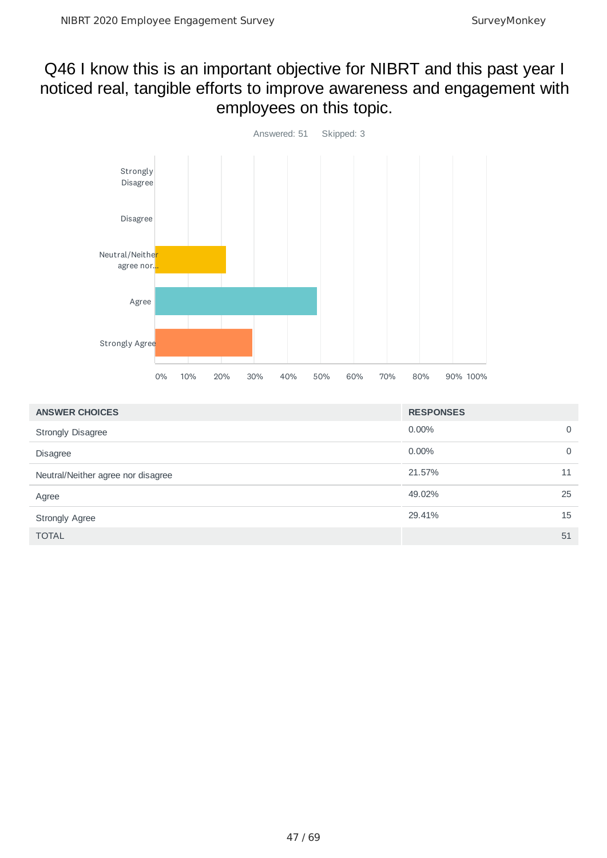### Q46 I know this is an important objective for NIBRT and this past year I noticed real, tangible efforts to improve awareness and engagement with employees on this topic.



| <b>ANSWER CHOICES</b>              | <b>RESPONSES</b> |    |
|------------------------------------|------------------|----|
| <b>Strongly Disagree</b>           | $0.00\%$         | 0  |
| <b>Disagree</b>                    | $0.00\%$         | 0  |
| Neutral/Neither agree nor disagree | 21.57%           | 11 |
| Agree                              | 49.02%           | 25 |
| <b>Strongly Agree</b>              | 29.41%           | 15 |
| <b>TOTAL</b>                       |                  | 51 |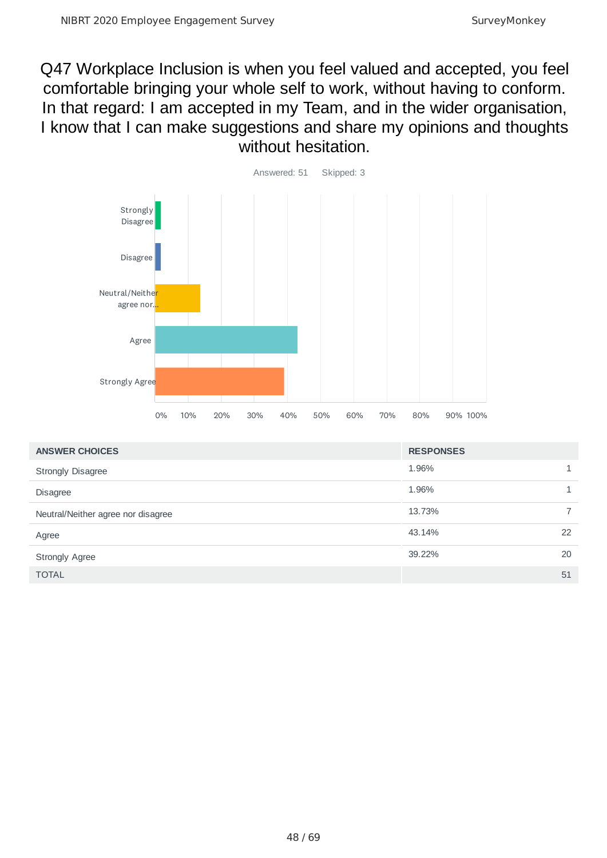Q47 Workplace Inclusion is when you feel valued and accepted, you feel comfortable bringing your whole self to work, without having to conform. In that regard: I am accepted in my Team, and in the wider organisation, I know that I can make suggestions and share my opinions and thoughts without hesitation.



| <b>ANSWER CHOICES</b>              | <b>RESPONSES</b> |    |
|------------------------------------|------------------|----|
| <b>Strongly Disagree</b>           | 1.96%            |    |
| <b>Disagree</b>                    | 1.96%            |    |
| Neutral/Neither agree nor disagree | 13.73%           |    |
| Agree                              | 43.14%           | 22 |
| <b>Strongly Agree</b>              | 39.22%           | 20 |
| <b>TOTAL</b>                       |                  | 51 |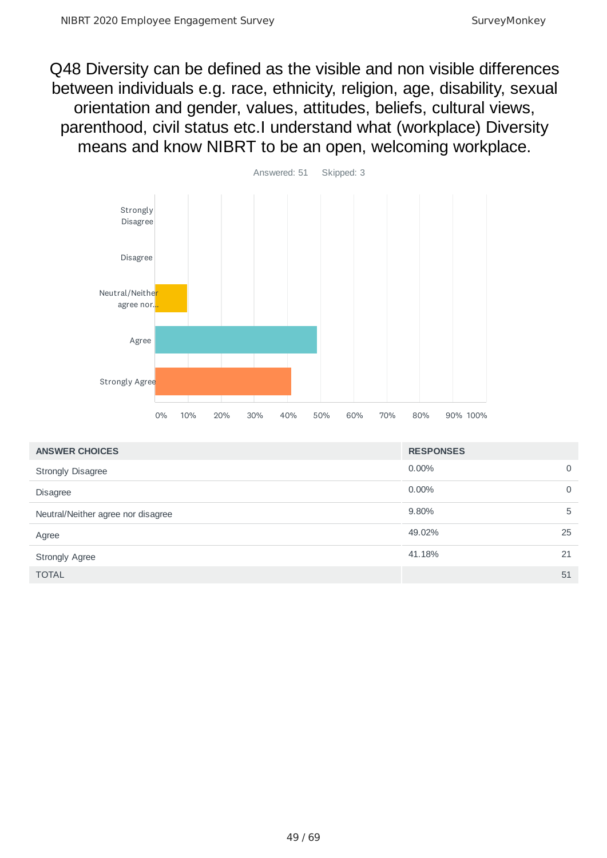Q48 Diversity can be defined as the visible and non visible differences between individuals e.g. race, ethnicity, religion, age, disability, sexual orientation and gender, values, attitudes, beliefs, cultural views, parenthood, civil status etc.I understand what (workplace) Diversity means and know NIBRT to be an open, welcoming workplace.



| <b>ANSWER CHOICES</b>              | <b>RESPONSES</b> |             |
|------------------------------------|------------------|-------------|
| <b>Strongly Disagree</b>           | $0.00\%$         | $\Omega$    |
| <b>Disagree</b>                    | $0.00\%$         | $\mathbf 0$ |
| Neutral/Neither agree nor disagree | 9.80%            | 5           |
| Agree                              | 49.02%           | 25          |
| <b>Strongly Agree</b>              | 41.18%           | 21          |
| <b>TOTAL</b>                       |                  | 51          |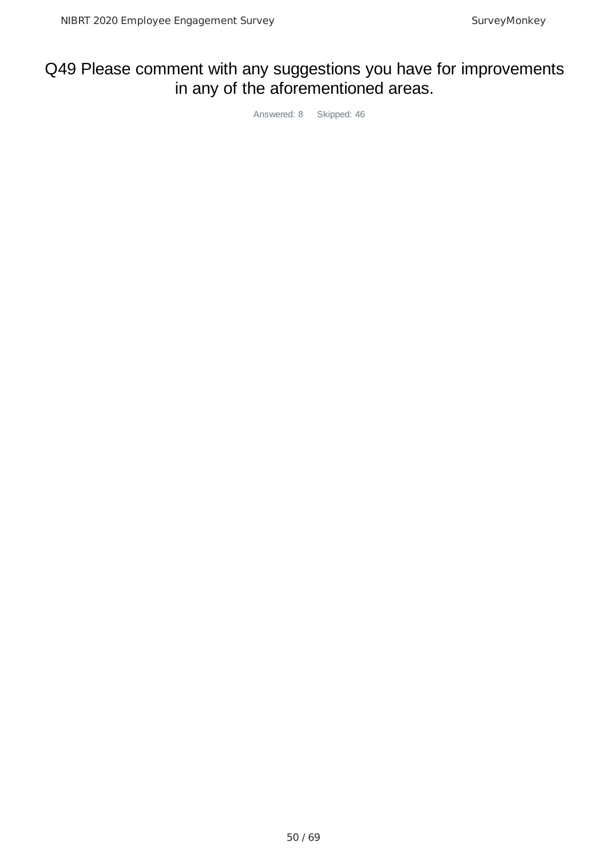# Q49 Please comment with any suggestions you have for improvements in any of the aforementioned areas.

Answered: 8 Skipped: 46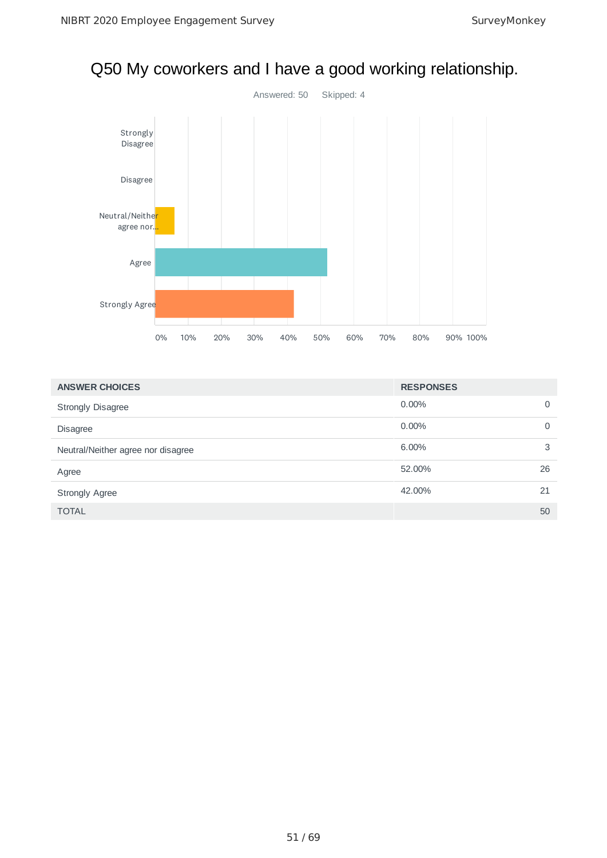

# Q50 My coworkers and I have a good working relationship.

| <b>ANSWER CHOICES</b>              | <b>RESPONSES</b> |    |
|------------------------------------|------------------|----|
| <b>Strongly Disagree</b>           | $0.00\%$         | 0  |
| <b>Disagree</b>                    | $0.00\%$         | 0  |
| Neutral/Neither agree nor disagree | 6.00%            | 3  |
| Agree                              | 52.00%           | 26 |
| <b>Strongly Agree</b>              | 42.00%           | 21 |
| <b>TOTAL</b>                       |                  | 50 |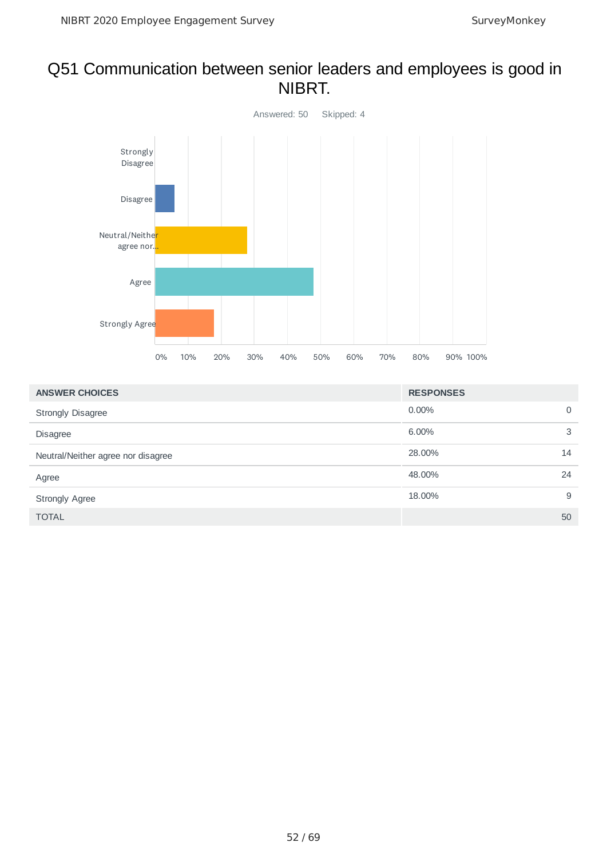### Q51 Communication between senior leaders and employees is good in NIBRT.



| <b>ANSWER CHOICES</b>              | <b>RESPONSES</b> |    |
|------------------------------------|------------------|----|
| <b>Strongly Disagree</b>           | $0.00\%$         | 0  |
| <b>Disagree</b>                    | 6.00%            | 3  |
| Neutral/Neither agree nor disagree | 28.00%           | 14 |
| Agree                              | 48.00%           | 24 |
| <b>Strongly Agree</b>              | 18.00%           | 9  |
| <b>TOTAL</b>                       |                  | 50 |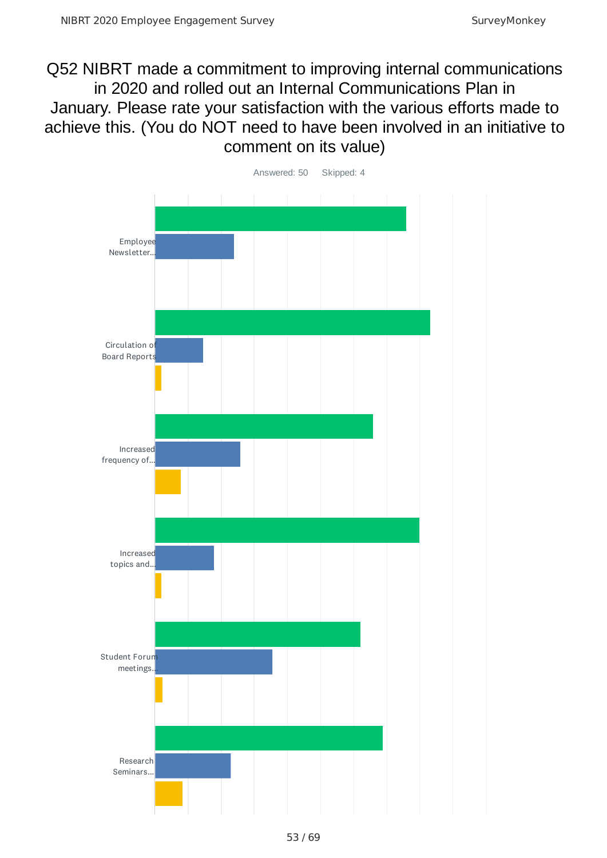Q52 NIBRT made a commitment to improving internal communications in 2020 and rolled out an Internal Communications Plan in January. Please rate your satisfaction with the various efforts made to achieve this. (You do NOT need to have been involved in an initiative to comment on its value)

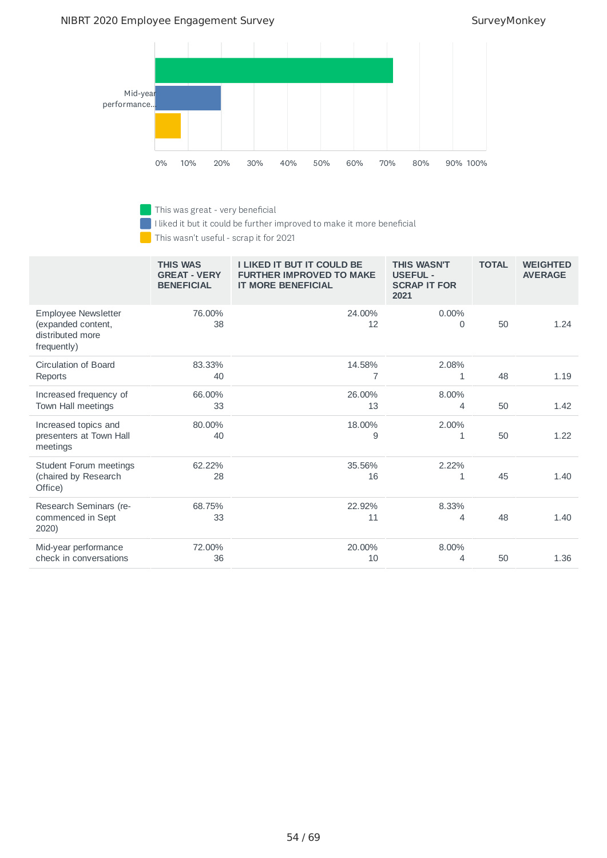#### NIBRT 2020 Employee Engagement Survey Survey SurveyMonkey

г



This was great - very beneficial

I liked it but it could be further improved to make it more beneficial

This wasn't useful - scrap it for 2021

|                                                                              | <b>THIS WAS</b><br><b>GREAT - VERY</b><br><b>BENEFICIAL</b> | <b>I LIKED IT BUT IT COULD BE</b><br><b>FURTHER IMPROVED TO MAKE</b><br><b>IT MORE BENEFICIAL</b> | <b>THIS WASN'T</b><br><b>USEFUL -</b><br><b>SCRAP IT FOR</b><br>2021 | <b>TOTAL</b> | <b>WEIGHTED</b><br><b>AVERAGE</b> |
|------------------------------------------------------------------------------|-------------------------------------------------------------|---------------------------------------------------------------------------------------------------|----------------------------------------------------------------------|--------------|-----------------------------------|
| Employee Newsletter<br>(expanded content,<br>distributed more<br>frequently) | 76.00%<br>38                                                | 24.00%<br>12                                                                                      | $0.00\%$<br>0                                                        | 50           | 1.24                              |
| Circulation of Board<br>Reports                                              | 83.33%<br>40                                                | 14.58%<br>7                                                                                       | 2.08%<br>1                                                           | 48           | 1.19                              |
| Increased frequency of<br>Town Hall meetings                                 | 66.00%<br>33                                                | 26.00%<br>13                                                                                      | 8.00%<br>4                                                           | 50           | 1.42                              |
| Increased topics and<br>presenters at Town Hall<br>meetings                  | 80.00%<br>40                                                | 18.00%<br>9                                                                                       | 2.00%<br>1                                                           | 50           | 1.22                              |
| <b>Student Forum meetings</b><br>(chaired by Research<br>Office)             | 62.22%<br>28                                                | 35.56%<br>16                                                                                      | 2.22%<br>1                                                           | 45           | 1.40                              |
| Research Seminars (re-<br>commenced in Sept<br>2020)                         | 68.75%<br>33                                                | 22.92%<br>11                                                                                      | 8.33%<br>4                                                           | 48           | 1.40                              |
| Mid-year performance<br>check in conversations                               | 72.00%<br>36                                                | 20.00%<br>10                                                                                      | 8.00%<br>4                                                           | 50           | 1.36                              |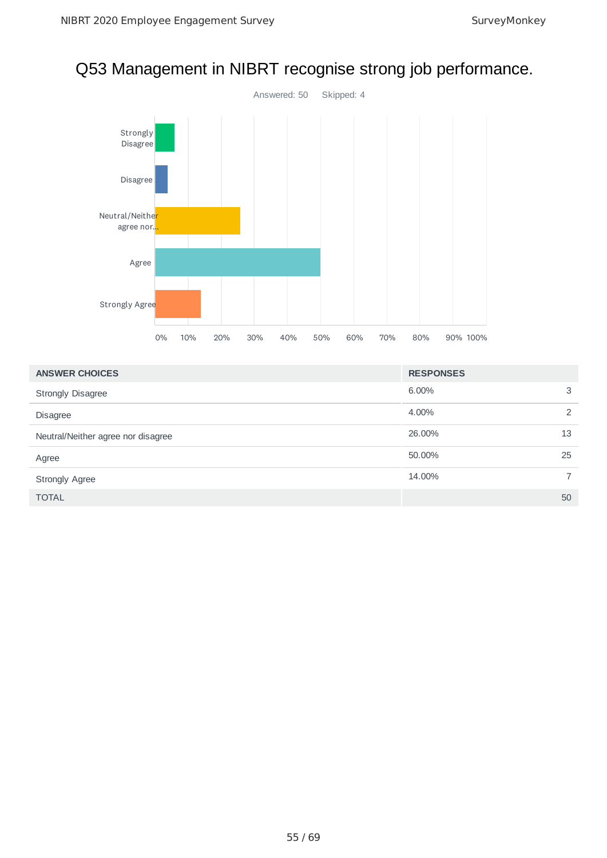# Answered: 50 Skipped: 4 Strongly Disagree Disagree Neutral/Neithe<mark>r</mark> agree nor. Agree Strongly Agree 0% 10% 20% 30% 40% 50% 60% 70% 80% 90% 100%

| <b>ANSWER CHOICES</b>              | <b>RESPONSES</b> |                |
|------------------------------------|------------------|----------------|
| <b>Strongly Disagree</b>           | 6.00%            | 3              |
| <b>Disagree</b>                    | 4.00%            | 2              |
| Neutral/Neither agree nor disagree | 26.00%           | 13             |
| Agree                              | 50.00%           | 25             |
| <b>Strongly Agree</b>              | 14.00%           | $\overline{7}$ |
| <b>TOTAL</b>                       |                  | 50             |

# Q53 Management in NIBRT recognise strong job performance.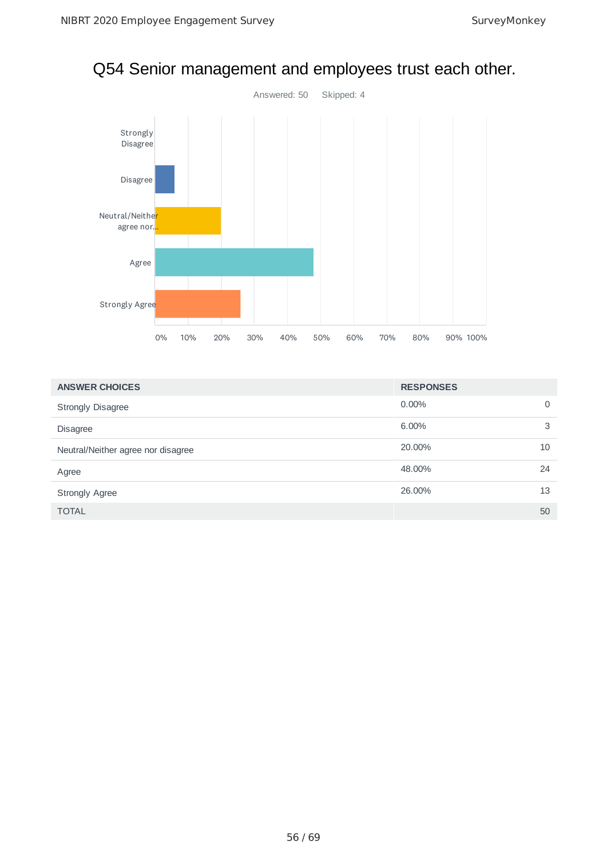

# Q54 Senior management and employees trust each other.

| <b>ANSWER CHOICES</b>              | <b>RESPONSES</b> |          |
|------------------------------------|------------------|----------|
| <b>Strongly Disagree</b>           | $0.00\%$         | $\Omega$ |
| <b>Disagree</b>                    | 6.00%            | 3        |
| Neutral/Neither agree nor disagree | 20.00%           | 10       |
| Agree                              | 48.00%           | 24       |
| <b>Strongly Agree</b>              | 26.00%           | 13       |
| <b>TOTAL</b>                       |                  | 50       |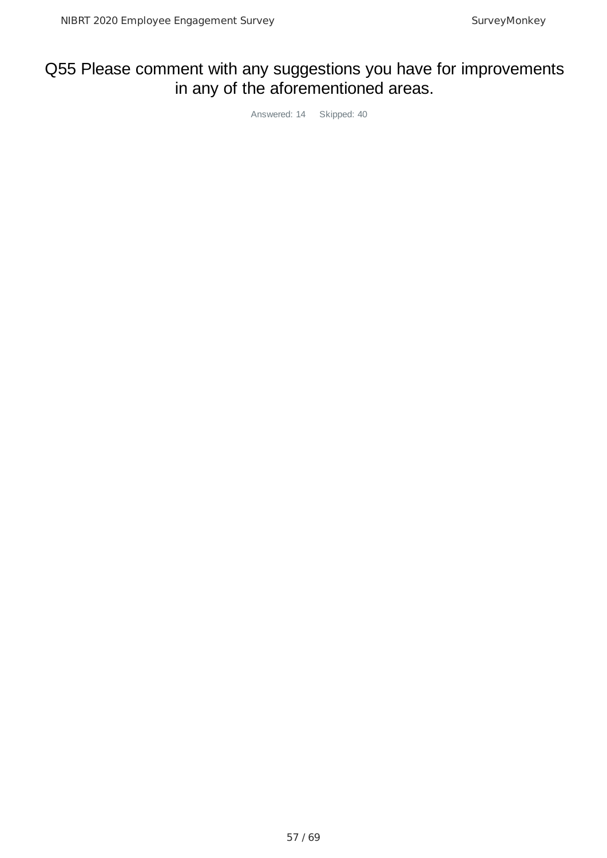# Q55 Please comment with any suggestions you have for improvements in any of the aforementioned areas.

Answered: 14 Skipped: 40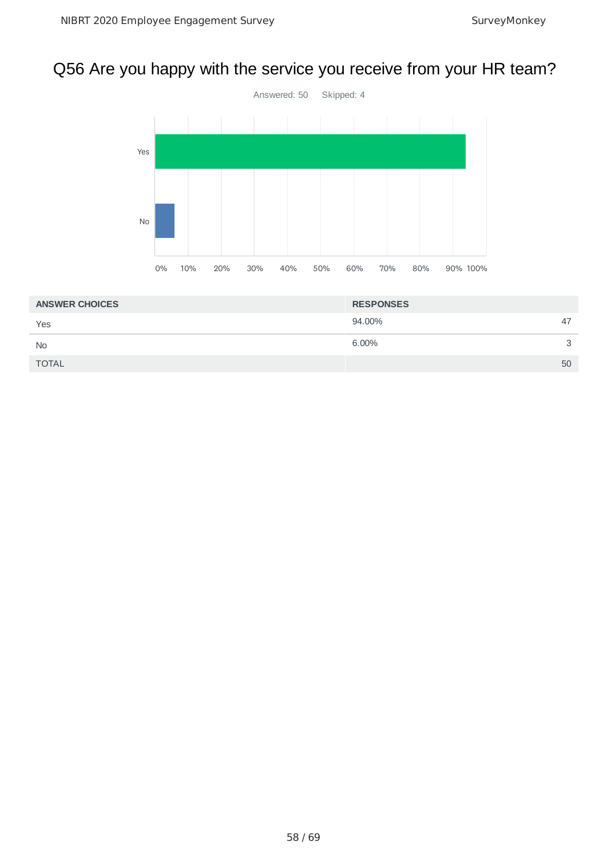# Q56 Are you happy with the service you receive from your HR team?



| <b>ANSWER CHOICES</b> | <b>RESPONSES</b> |    |
|-----------------------|------------------|----|
| Yes                   | 94.00%           | 47 |
| <b>No</b>             | 6.00%            | 3  |
| <b>TOTAL</b>          |                  | 50 |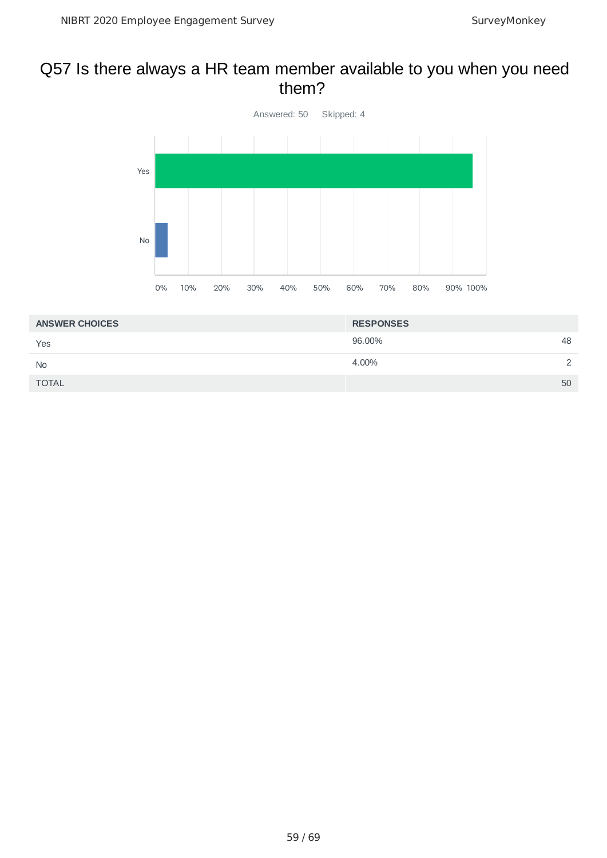### Q57 Is there always a HR team member available to you when you need them?



| <b>ANSWER CHOICES</b> | <b>RESPONSES</b> |               |
|-----------------------|------------------|---------------|
| Yes                   | 96.00%<br>48     |               |
| <b>No</b>             | 4.00%            | $\mathcal{L}$ |
| <b>TOTAL</b>          | 50               |               |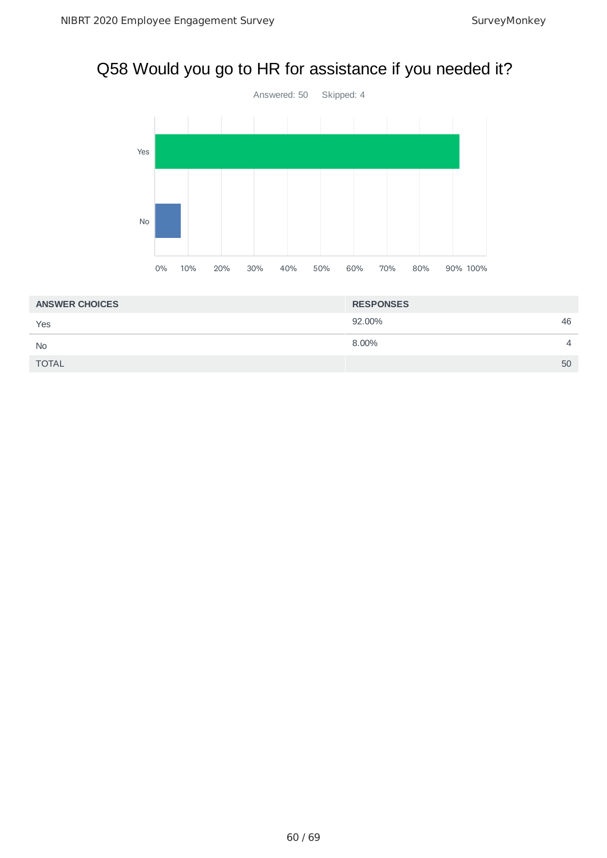# Q58 Would you go to HR for assistance if you needed it?



| <b>ANSWER CHOICES</b> | <b>RESPONSES</b> |                |
|-----------------------|------------------|----------------|
| Yes                   | 92.00%           | 46             |
| <b>No</b>             | 8.00%            | $\overline{4}$ |
| <b>TOTAL</b>          |                  | 50             |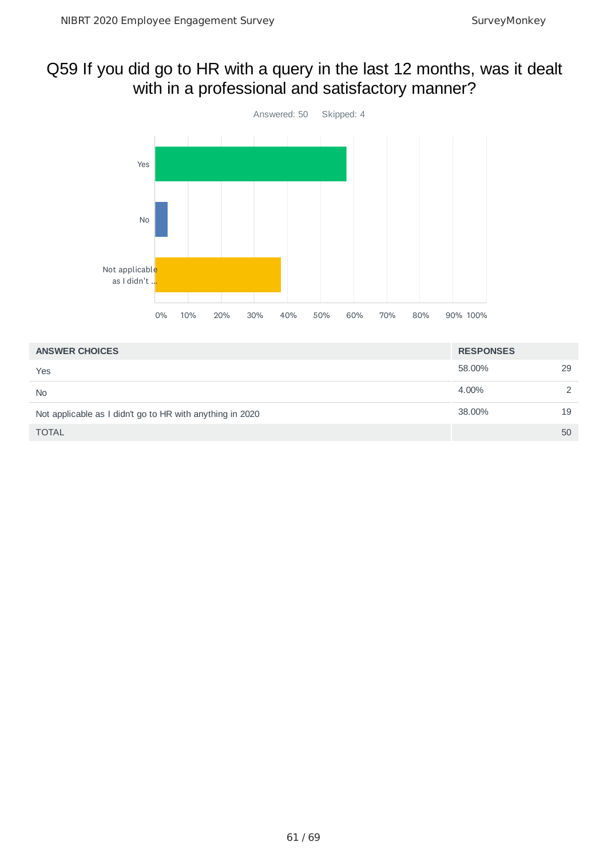### Q59 If you did go to HR with a query in the last 12 months, was it dealt with in a professional and satisfactory manner?



| <b>ANSWER CHOICES</b>                                     | <b>RESPONSES</b> |               |
|-----------------------------------------------------------|------------------|---------------|
| Yes                                                       | 58.00%           | 29            |
| <b>No</b>                                                 | 4.00%            | $\mathcal{P}$ |
| Not applicable as I didn't go to HR with anything in 2020 | 38,00%           | 19            |
| <b>TOTAL</b>                                              |                  | 50            |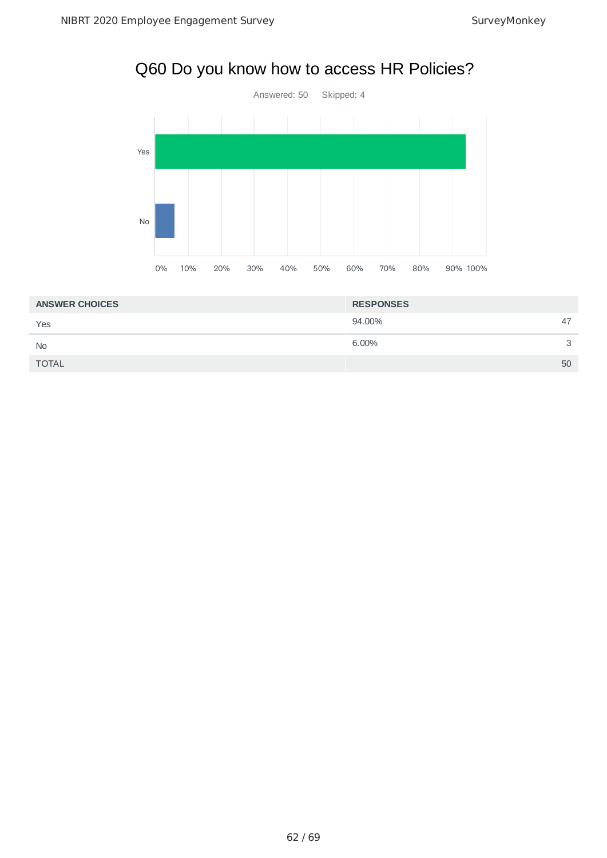# Q60 Do you know how to access HR Policies?



| <b>ANSWER CHOICES</b> | <b>RESPONSES</b> |              |
|-----------------------|------------------|--------------|
| Yes                   | 94.00%           | 47           |
| <b>No</b>             | 6.00%            | $\mathbf{R}$ |
| <b>TOTAL</b>          |                  | 50           |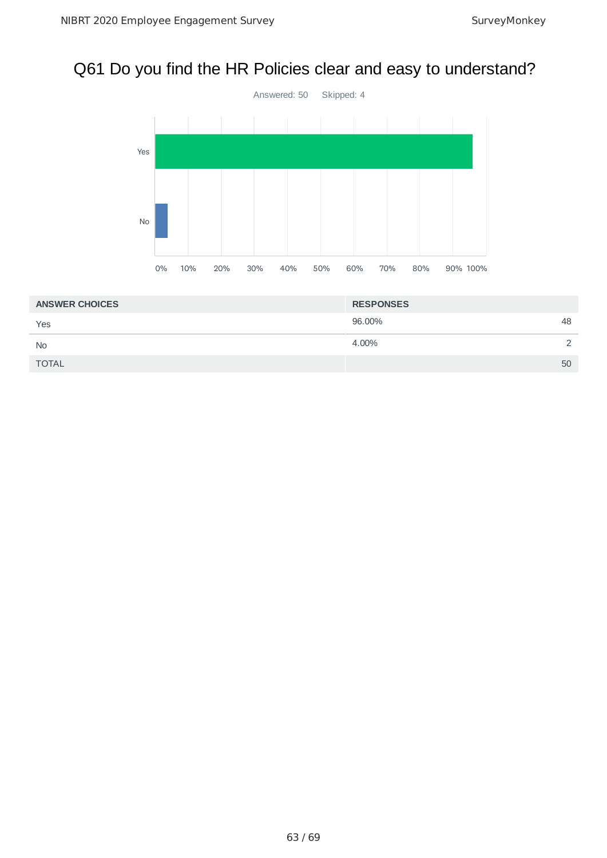# Q61 Do you find the HR Policies clear and easy to understand?



| <b>ANSWER CHOICES</b> | <b>RESPONSES</b> |               |
|-----------------------|------------------|---------------|
| Yes                   | 96.00%           | 48            |
| <b>No</b>             | 4.00%            | $\mathcal{D}$ |
| <b>TOTAL</b>          |                  | 50            |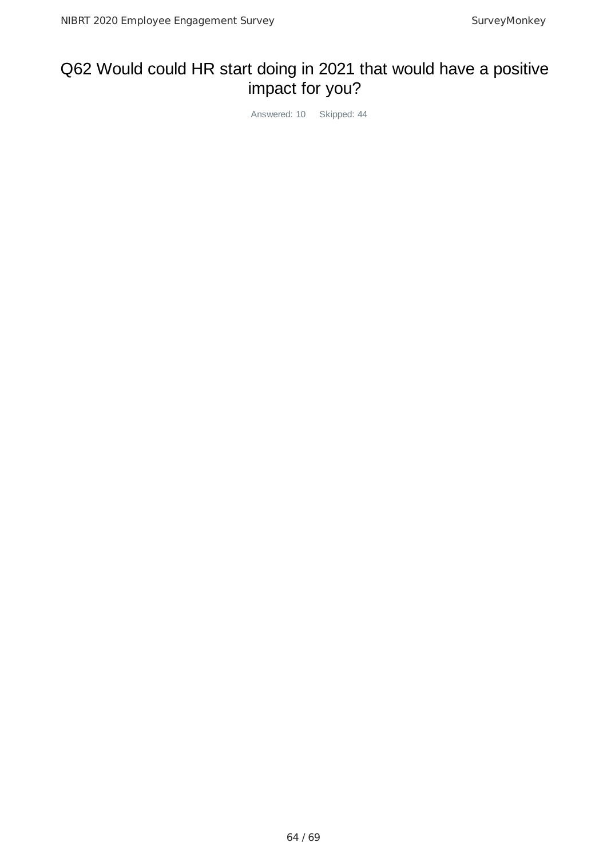# Q62 Would could HR start doing in 2021 that would have a positive impact for you?

Answered: 10 Skipped: 44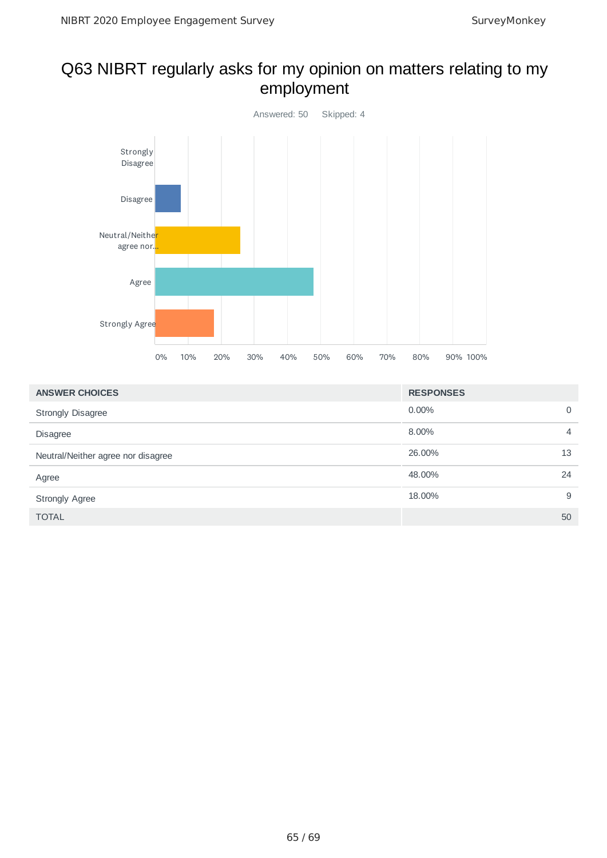### Q63 NIBRT regularly asks for my opinion on matters relating to my employment



| <b>ANSWER CHOICES</b>              | <b>RESPONSES</b> |                |
|------------------------------------|------------------|----------------|
| <b>Strongly Disagree</b>           | $0.00\%$         | 0              |
| <b>Disagree</b>                    | 8.00%            | $\overline{4}$ |
| Neutral/Neither agree nor disagree | 26.00%           | 13             |
| Agree                              | 48.00%           | 24             |
| <b>Strongly Agree</b>              | 18.00%           | 9              |
| <b>TOTAL</b>                       |                  | 50             |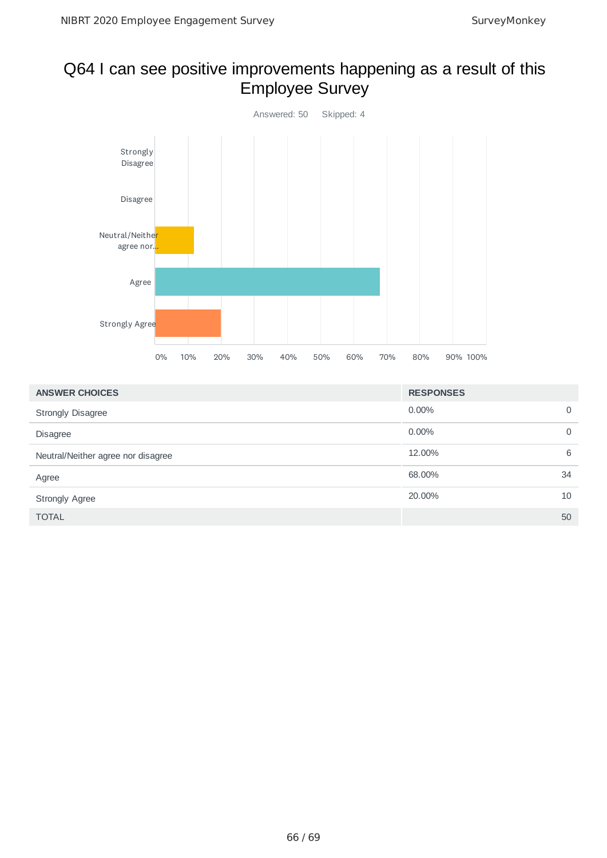# Q64 I can see positive improvements happening as a result of this Employee Survey



| <b>ANSWER CHOICES</b>              | <b>RESPONSES</b> |    |
|------------------------------------|------------------|----|
| <b>Strongly Disagree</b>           | $0.00\%$         | 0  |
| <b>Disagree</b>                    | $0.00\%$         | 0  |
| Neutral/Neither agree nor disagree | 12.00%           | 6  |
| Agree                              | 68.00%           | 34 |
| <b>Strongly Agree</b>              | 20.00%           | 10 |
| <b>TOTAL</b>                       |                  | 50 |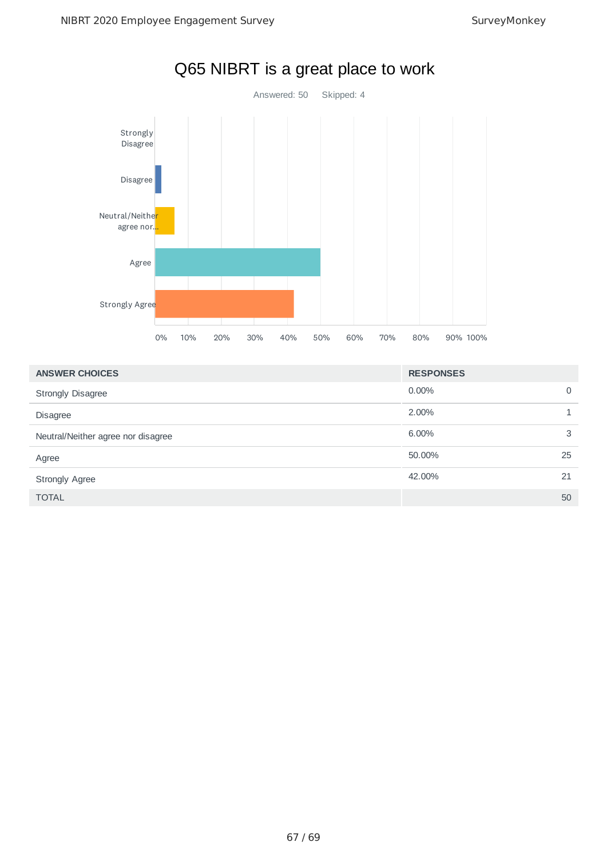

# Q65 NIBRT is a great place to work

| <b>ANSWER CHOICES</b>              | <b>RESPONSES</b> |    |
|------------------------------------|------------------|----|
| <b>Strongly Disagree</b>           | $0.00\%$         | 0  |
| <b>Disagree</b>                    | 2.00%            |    |
| Neutral/Neither agree nor disagree | $6.00\%$         | 3  |
| Agree                              | 50.00%           | 25 |
| <b>Strongly Agree</b>              | 42.00%           | 21 |
| <b>TOTAL</b>                       |                  | 50 |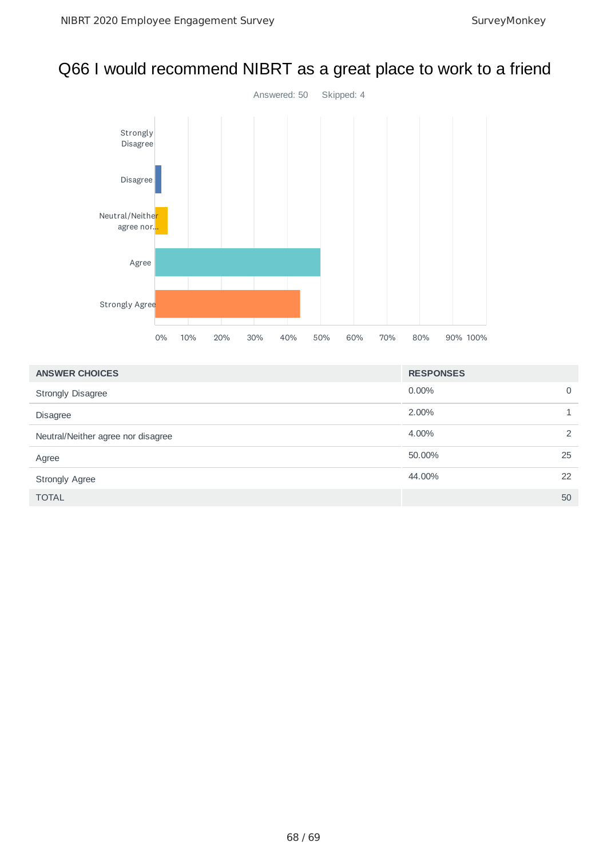# Q66 I would recommend NIBRT as a great place to work to a friend



| <b>ANSWER CHOICES</b>              | <b>RESPONSES</b> |    |
|------------------------------------|------------------|----|
| <b>Strongly Disagree</b>           | $0.00\%$         | 0  |
| <b>Disagree</b>                    | 2.00%            | 1. |
| Neutral/Neither agree nor disagree | 4.00%            | 2  |
| Agree                              | 50.00%           | 25 |
| <b>Strongly Agree</b>              | 44.00%           | 22 |
| <b>TOTAL</b>                       |                  | 50 |